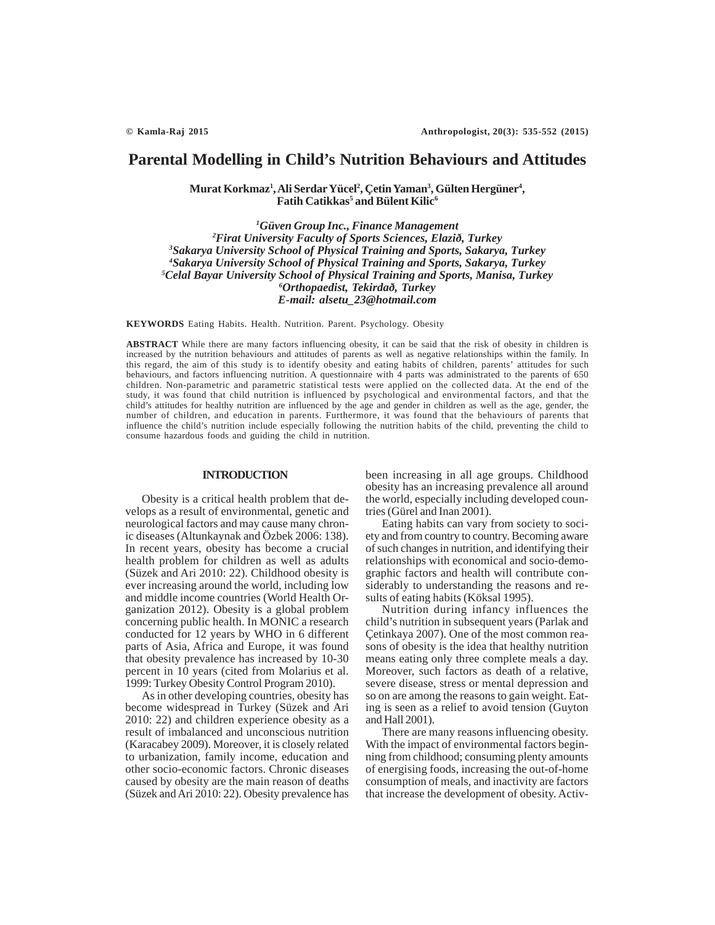# **Parental Modelling in Child's Nutrition Behaviours and Attitudes**

**Murat Korkmaz1 , Ali Serdar Yücel2 , Çetin Yaman3 , Gülten Hergüner4 ,**  $\mathbf F$ atih Catikkas $^5$  and Bülent Kilic $^6$ 

 *Güven Group Inc., Finance Management Firat University Faculty of Sports Sciences, Elazið, Turkey Sakarya University School of Physical Training and Sports, Sakarya, Turkey Sakarya University School of Physical Training and Sports, Sakarya, Turkey Celal Bayar University School of Physical Training and Sports, Manisa, Turkey Orthopaedist, Tekirdað, Turkey E-mail: alsetu\_23@hotmail.com*

**KEYWORDS** Eating Habits. Health. Nutrition. Parent. Psychology. Obesity

**ABSTRACT** While there are many factors influencing obesity, it can be said that the risk of obesity in children is increased by the nutrition behaviours and attitudes of parents as well as negative relationships within the family. In this regard, the aim of this study is to identify obesity and eating habits of children, parents' attitudes for such behaviours, and factors influencing nutrition. A questionnaire with 4 parts was administrated to the parents of 650 children. Non-parametric and parametric statistical tests were applied on the collected data. At the end of the study, it was found that child nutrition is influenced by psychological and environmental factors, and that the child's attitudes for healthy nutrition are influenced by the age and gender in children as well as the age, gender, the number of children, and education in parents. Furthermore, it was found that the behaviours of parents that influence the child's nutrition include especially following the nutrition habits of the child, preventing the child to consume hazardous foods and guiding the child in nutrition.

#### **INTRODUCTION**

Obesity is a critical health problem that develops as a result of environmental, genetic and neurological factors and may cause many chronic diseases (Altunkaynak and Özbek 2006: 138). In recent years, obesity has become a crucial health problem for children as well as adults (Süzek and Ari 2010: 22). Childhood obesity is ever increasing around the world, including low and middle income countries (World Health Organization 2012). Obesity is a global problem concerning public health. In MONIC a research conducted for 12 years by WHO in 6 different parts of Asia, Africa and Europe, it was found that obesity prevalence has increased by 10-30 percent in 10 years (cited from Molarius et al. 1999: Turkey Obesity Control Program 2010).

As in other developing countries, obesity has become widespread in Turkey (Süzek and Ari 2010: 22) and children experience obesity as a result of imbalanced and unconscious nutrition (Karacabey 2009). Moreover, it is closely related to urbanization, family income, education and other socio-economic factors. Chronic diseases caused by obesity are the main reason of deaths (Süzek and Ari 2010: 22). Obesity prevalence has been increasing in all age groups. Childhood obesity has an increasing prevalence all around the world, especially including developed countries (Gürel and Inan 2001).

Eating habits can vary from society to society and from country to country. Becoming aware of such changes in nutrition, and identifying their relationships with economical and socio-demographic factors and health will contribute considerably to understanding the reasons and results of eating habits (Köksal 1995).

Nutrition during infancy influences the child's nutrition in subsequent years (Parlak and Çetinkaya 2007). One of the most common reasons of obesity is the idea that healthy nutrition means eating only three complete meals a day. Moreover, such factors as death of a relative, severe disease, stress or mental depression and so on are among the reasons to gain weight. Eating is seen as a relief to avoid tension (Guyton and Hall 2001).

There are many reasons influencing obesity. With the impact of environmental factors beginning from childhood; consuming plenty amounts of energising foods, increasing the out-of-home consumption of meals, and inactivity are factors that increase the development of obesity. Activ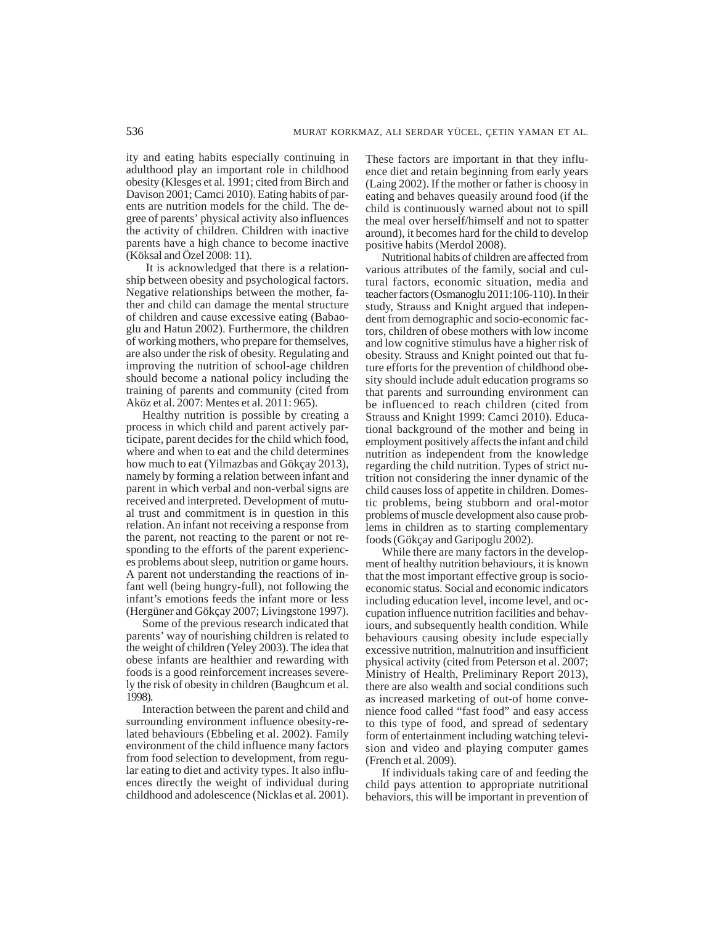ity and eating habits especially continuing in adulthood play an important role in childhood obesity (Klesges et al. 1991; cited from Birch and Davison 2001; Camci 2010). Eating habits of parents are nutrition models for the child. The degree of parents' physical activity also influences the activity of children. Children with inactive parents have a high chance to become inactive (Köksal and Özel 2008: 11).

 It is acknowledged that there is a relationship between obesity and psychological factors. Negative relationships between the mother, father and child can damage the mental structure of children and cause excessive eating (Babaoglu and Hatun 2002). Furthermore, the children of working mothers, who prepare for themselves, are also under the risk of obesity. Regulating and improving the nutrition of school-age children should become a national policy including the training of parents and community (cited from Aköz et al. 2007: Mentes et al. 2011: 965).

Healthy nutrition is possible by creating a process in which child and parent actively participate, parent decides for the child which food, where and when to eat and the child determines how much to eat (Yilmazbas and Gökçay 2013), namely by forming a relation between infant and parent in which verbal and non-verbal signs are received and interpreted. Development of mutual trust and commitment is in question in this relation. An infant not receiving a response from the parent, not reacting to the parent or not responding to the efforts of the parent experiences problems about sleep, nutrition or game hours. A parent not understanding the reactions of infant well (being hungry-full), not following the infant's emotions feeds the infant more or less (Hergüner and Gökçay 2007; Livingstone 1997).

Some of the previous research indicated that parents' way of nourishing children is related to the weight of children (Yeley 2003). The idea that obese infants are healthier and rewarding with foods is a good reinforcement increases severely the risk of obesity in children (Baughcum et al. 1998).

Interaction between the parent and child and surrounding environment influence obesity-related behaviours (Ebbeling et al. 2002). Family environment of the child influence many factors from food selection to development, from regular eating to diet and activity types. It also influences directly the weight of individual during childhood and adolescence (Nicklas et al. 2001).

These factors are important in that they influence diet and retain beginning from early years (Laing 2002). If the mother or father is choosy in eating and behaves queasily around food (if the child is continuously warned about not to spill the meal over herself/himself and not to spatter around), it becomes hard for the child to develop positive habits (Merdol 2008).

Nutritional habits of children are affected from various attributes of the family, social and cultural factors, economic situation, media and teacher factors (Osmanoglu 2011:106-110). In their study, Strauss and Knight argued that independent from demographic and socio-economic factors, children of obese mothers with low income and low cognitive stimulus have a higher risk of obesity. Strauss and Knight pointed out that future efforts for the prevention of childhood obesity should include adult education programs so that parents and surrounding environment can be influenced to reach children (cited from Strauss and Knight 1999: Camci 2010). Educational background of the mother and being in employment positively affects the infant and child nutrition as independent from the knowledge regarding the child nutrition. Types of strict nutrition not considering the inner dynamic of the child causes loss of appetite in children. Domestic problems, being stubborn and oral-motor problems of muscle development also cause problems in children as to starting complementary foods (Gökçay and Garipoglu 2002).

While there are many factors in the development of healthy nutrition behaviours, it is known that the most important effective group is socioeconomic status. Social and economic indicators including education level, income level, and occupation influence nutrition facilities and behaviours, and subsequently health condition. While behaviours causing obesity include especially excessive nutrition, malnutrition and insufficient physical activity (cited from Peterson et al. 2007; Ministry of Health, Preliminary Report 2013), there are also wealth and social conditions such as increased marketing of out-of home convenience food called "fast food" and easy access to this type of food, and spread of sedentary form of entertainment including watching television and video and playing computer games (French et al. 2009).

If individuals taking care of and feeding the child pays attention to appropriate nutritional behaviors, this will be important in prevention of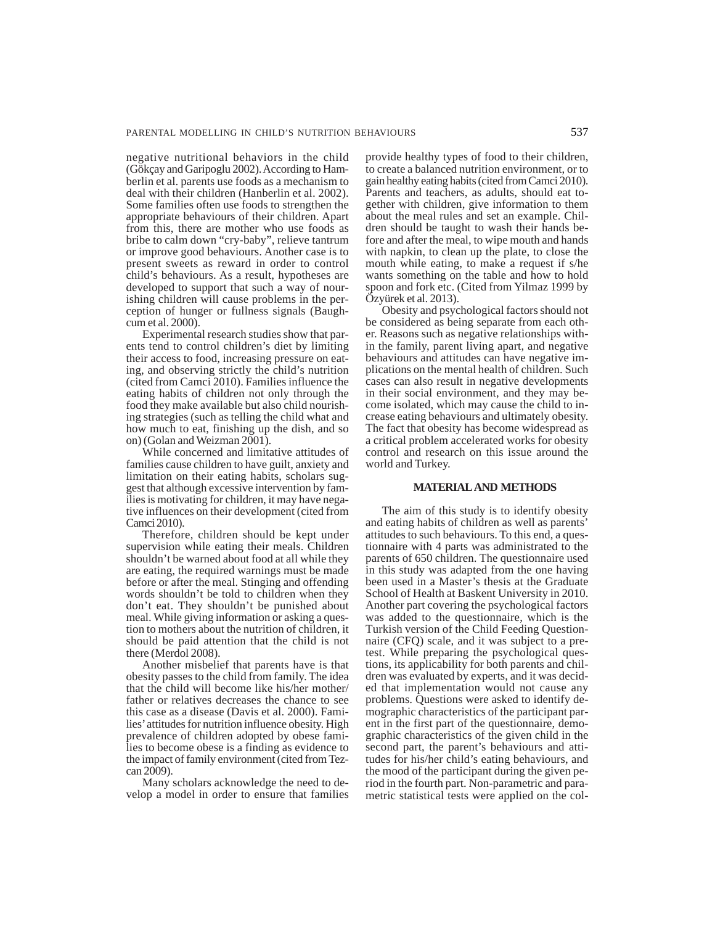negative nutritional behaviors in the child (Gökçay and Garipoglu 2002). According to Hamberlin et al. parents use foods as a mechanism to deal with their children (Hanberlin et al. 2002). Some families often use foods to strengthen the appropriate behaviours of their children. Apart from this, there are mother who use foods as bribe to calm down "cry-baby", relieve tantrum or improve good behaviours. Another case is to present sweets as reward in order to control child's behaviours. As a result, hypotheses are developed to support that such a way of nourishing children will cause problems in the perception of hunger or fullness signals (Baughcum et al. 2000).

Experimental research studies show that parents tend to control children's diet by limiting their access to food, increasing pressure on eating, and observing strictly the child's nutrition (cited from Camci 2010). Families influence the eating habits of children not only through the food they make available but also child nourishing strategies (such as telling the child what and how much to eat, finishing up the dish, and so on) (Golan and Weizman 2001).

While concerned and limitative attitudes of families cause children to have guilt, anxiety and limitation on their eating habits, scholars suggest that although excessive intervention by families is motivating for children, it may have negative influences on their development (cited from Camci 2010).

Therefore, children should be kept under supervision while eating their meals. Children shouldn't be warned about food at all while they are eating, the required warnings must be made before or after the meal. Stinging and offending words shouldn't be told to children when they don't eat. They shouldn't be punished about meal. While giving information or asking a question to mothers about the nutrition of children, it should be paid attention that the child is not there (Merdol 2008).

Another misbelief that parents have is that obesity passes to the child from family. The idea that the child will become like his/her mother/ father or relatives decreases the chance to see this case as a disease (Davis et al. 2000). Families' attitudes for nutrition influence obesity. High prevalence of children adopted by obese families to become obese is a finding as evidence to the impact of family environment (cited from Tezcan 2009).

Many scholars acknowledge the need to develop a model in order to ensure that families provide healthy types of food to their children, to create a balanced nutrition environment, or to gain healthy eating habits (cited from Camci 2010). Parents and teachers, as adults, should eat together with children, give information to them about the meal rules and set an example. Children should be taught to wash their hands before and after the meal, to wipe mouth and hands with napkin, to clean up the plate, to close the mouth while eating, to make a request if s/he wants something on the table and how to hold spoon and fork etc. (Cited from Yilmaz 1999 by Özyürek et al. 2013).

Obesity and psychological factors should not be considered as being separate from each other. Reasons such as negative relationships within the family, parent living apart, and negative behaviours and attitudes can have negative implications on the mental health of children. Such cases can also result in negative developments in their social environment, and they may become isolated, which may cause the child to increase eating behaviours and ultimately obesity. The fact that obesity has become widespread as a critical problem accelerated works for obesity control and research on this issue around the world and Turkey.

#### **MATERIAL AND METHODS**

The aim of this study is to identify obesity and eating habits of children as well as parents' attitudes to such behaviours. To this end, a questionnaire with 4 parts was administrated to the parents of 650 children. The questionnaire used in this study was adapted from the one having been used in a Master's thesis at the Graduate School of Health at Baskent University in 2010. Another part covering the psychological factors was added to the questionnaire, which is the Turkish version of the Child Feeding Questionnaire (CFQ) scale, and it was subject to a pretest. While preparing the psychological questions, its applicability for both parents and children was evaluated by experts, and it was decided that implementation would not cause any problems. Questions were asked to identify demographic characteristics of the participant parent in the first part of the questionnaire, demographic characteristics of the given child in the second part, the parent's behaviours and attitudes for his/her child's eating behaviours, and the mood of the participant during the given period in the fourth part. Non-parametric and parametric statistical tests were applied on the col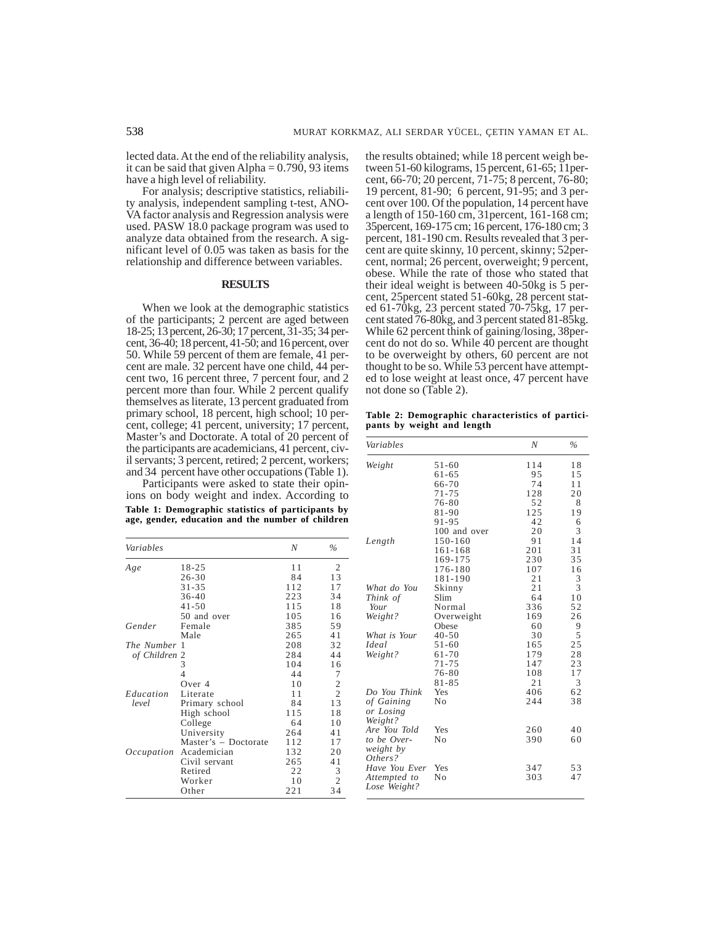lected data. At the end of the reliability analysis, it can be said that given Alpha  $= 0.790, 93$  items have a high level of reliability.

For analysis; descriptive statistics, reliability analysis, independent sampling t-test, ANO-VA factor analysis and Regression analysis were used. PASW 18.0 package program was used to analyze data obtained from the research. A significant level of 0.05 was taken as basis for the relationship and difference between variables.

#### **RESULTS**

When we look at the demographic statistics of the participants; 2 percent are aged between 18-25; 13 percent, 26-30; 17 percent, 31-35; 34 percent,  $36-40$ ; 18 percent,  $41-50$ ; and 16 percent, over 50. While 59 percent of them are female, 41 percent are male. 32 percent have one child, 44 percent two, 16 percent three, 7 percent four, and 2 percent more than four. While 2 percent qualify themselves as literate, 13 percent graduated from primary school, 18 percent, high school; 10 percent, college; 41 percent, university; 17 percent, Master's and Doctorate. A total of 20 percent of the participants are academicians, 41 percent, civil servants; 3 percent, retired; 2 percent, workers; and 34 percent have other occupations (Table 1).

Participants were asked to state their opinions on body weight and index. According to **Table 1: Demographic statistics of participants by age, gender, education and the number of children**

| Variables     |                      | N   | $\%$           |
|---------------|----------------------|-----|----------------|
| Age           | $18 - 25$            | 11  | $\overline{c}$ |
|               | $26 - 30$            | 84  | 13             |
|               | $31 - 35$            | 112 | 17             |
|               | $36 - 40$            | 223 | 34             |
|               | $41 - 50$            | 115 | 18             |
|               | 50 and over          | 105 | 16             |
| Gender        | Female               | 385 | 59             |
|               | Male                 | 265 | 41             |
| The Number    | -1                   | 208 | 32             |
| of Children 2 |                      | 284 | 44             |
|               | 3                    | 104 | 16             |
|               | 4                    | 44  | 7              |
|               | Over $4$             | 10  | $\frac{2}{2}$  |
| Education     | Literate             | 11  |                |
| level         | Primary school       | 84  | 13             |
|               | High school          | 115 | 18             |
|               | College              | 64  | 10             |
|               | University           | 264 | 41             |
|               | Master's - Doctorate | 112 | 17             |
| Occupation    | Academician          | 132 | 20             |
|               | Civil servant        | 265 | 41             |
|               | Retired              | 22  | 3              |
|               | Worker               | 10  | $\overline{c}$ |
|               | Other                | 221 | 34             |

the results obtained; while 18 percent weigh between 51-60 kilograms, 15 percent, 61-65; 11percent, 66-70; 20 percent, 71-75; 8 percent, 76-80; 19 percent, 81-90; 6 percent, 91-95; and 3 percent over 100. Of the population, 14 percent have a length of 150-160 cm, 31percent, 161-168 cm; 35percent, 169-175 cm; 16 percent, 176-180 cm; 3 percent, 181-190 cm. Results revealed that 3 percent are quite skinny, 10 percent, skinny; 52percent, normal; 26 percent, overweight; 9 percent, obese. While the rate of those who stated that their ideal weight is between 40-50kg is 5 percent, 25percent stated 51-60kg, 28 percent stated 61-70kg, 23 percent stated 70-75kg, 17 percent stated 76-80kg, and 3 percent stated 81-85kg. While 62 percent think of gaining/losing, 38percent do not do so. While 40 percent are thought to be overweight by others, 60 percent are not thought to be so. While 53 percent have attempted to lose weight at least once, 47 percent have not done so (Table 2).

**Table 2: Demographic characteristics of participants by weight and length**

| Variables        |              | N   | $\%$           |
|------------------|--------------|-----|----------------|
| Weight           | $51 - 60$    | 114 | 18             |
|                  | 61-65        | 95  | 15             |
|                  | 66-70        | 74  | 11             |
|                  | $71 - 75$    | 128 | 20             |
|                  | 76-80        | 52  | 8              |
|                  | 81-90        | 125 | 19             |
|                  | $91 - 95$    | 42  | 6              |
|                  | 100 and over | 20  | 3              |
| Length           | 150-160      | 91  | 14             |
|                  | 161-168      | 201 | 31             |
|                  | 169-175      | 230 | 35             |
|                  | 176-180      | 107 | 16             |
|                  | 181-190      | 21  | 3              |
| What do You      | Skinny       | 21  | 3              |
| Think of         | Slim         | 64  | 1 <sub>0</sub> |
| Your             | Normal       | 336 | 52             |
| Weight?          | Overweight   | 169 | 26             |
|                  | Obese        | 60  | 9              |
| What is Your     | $40 - 50$    | 30  | 5              |
| Ideal            | $51 - 60$    | 165 | 25             |
| Weight?          | $61 - 70$    | 179 | 28             |
|                  | $71 - 75$    | 147 | 23             |
|                  | 76-80        | 108 | 17             |
|                  | $81 - 85$    | 21  | 3              |
| Do You Think     | Yes          | 406 | 62             |
| of Gaining       | No           | 244 | 38             |
| or Losing        |              |     |                |
| Weight?          |              |     |                |
| Are You Told     | Yes          | 260 | 40             |
| to be Over-      | No           | 390 | 60             |
| <i>weight by</i> |              |     |                |
| Others?          |              |     |                |
| Have You Ever    | Yes          | 347 | 53             |
| Attempted to     | No           | 303 | 47             |
| Lose Weight?     |              |     |                |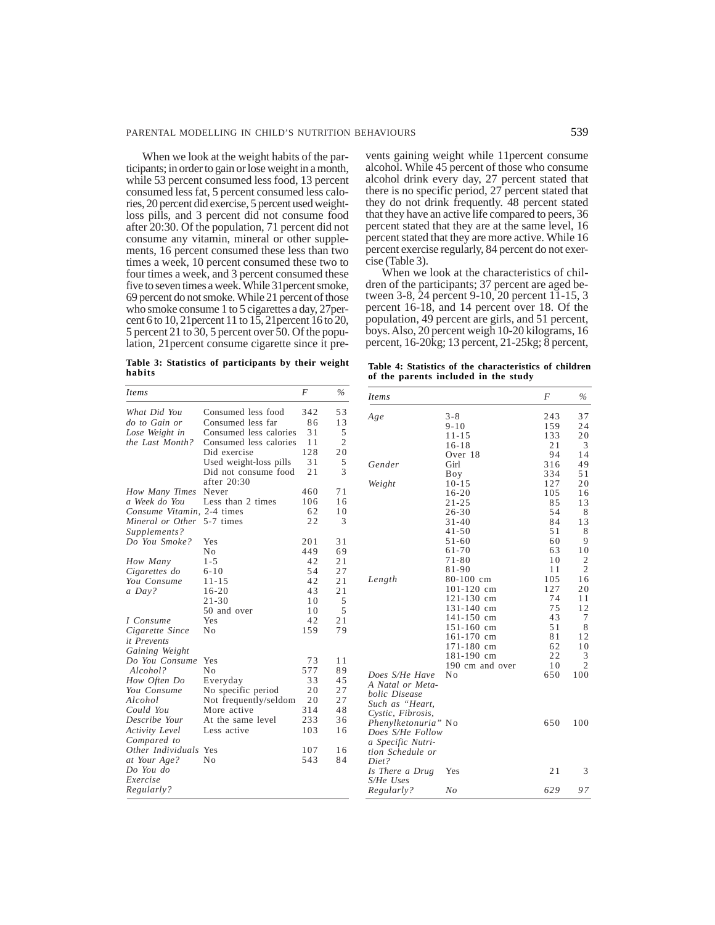When we look at the weight habits of the participants; in order to gain or lose weight in a month, while 53 percent consumed less food, 13 percent consumed less fat, 5 percent consumed less calories, 20 percent did exercise, 5 percent used weightloss pills, and 3 percent did not consume food after 20:30. Of the population, 71 percent did not consume any vitamin, mineral or other supplements, 16 percent consumed these less than two times a week, 10 percent consumed these two to four times a week, and 3 percent consumed these five to seven times a week. While 31percent smoke, 69 percent do not smoke. While 21 percent of those who smoke consume 1 to 5 cigarettes a day, 27percent 6 to 10, 21percent 11 to 15, 21percent 16 to 20, 5 percent 21 to 30, 5 percent over 50. Of the population, 21percent consume cigarette since it pre-

vents gaining weight while 11percent consume alcohol. While 45 percent of those who consume alcohol drink every day, 27 percent stated that there is no specific period, 27 percent stated that they do not drink frequently. 48 percent stated that they have an active life compared to peers, 36 percent stated that they are at the same level, 16 percent stated that they are more active. While 16 percent exercise regularly, 84 percent do not exercise (Table 3).

When we look at the characteristics of children of the participants; 37 percent are aged between 3-8, 24 percent 9-10, 20 percent 11-15, 3 percent 16-18, and 14 percent over 18. Of the population, 49 percent are girls, and 51 percent, boys. Also, 20 percent weigh 10-20 kilograms, 16 percent, 16-20kg; 13 percent, 21-25kg; 8 percent,

**Table 3: Statistics of participants by their weight habits**

|  |                                      |  |  | Table 4: Statistics of the characteristics of children |
|--|--------------------------------------|--|--|--------------------------------------------------------|
|  | of the parents included in the study |  |  |                                                        |

| <i>Items</i>          |                        | $\cal F$ | $\%$           |
|-----------------------|------------------------|----------|----------------|
| What Did You          | Consumed less food     | 342      | 53             |
| do to Gain or         | Consumed less far      | 86       | 13             |
| Lose Weight in        | Consumed less calories | 31       | 5              |
| the Last Month?       | Consumed less calories | 11       | $\overline{c}$ |
|                       | Did exercise           | 128      | 20             |
|                       | Used weight-loss pills | 31       | 5              |
|                       | Did not consume food   | 21       | 3              |
|                       | after 20:30            |          |                |
| How Many Times        | Never                  | 460      | 71             |
| a Week do You         | Less than 2 times      | 106      | 16             |
| Consume Vitamin.      | 2-4 times              | 62       | 10             |
| Mineral or Other      | 5-7 times              | 22       | 3              |
| Supplements?          |                        |          |                |
| Do You Smoke?         | Yes                    | 201      | 31             |
|                       | No                     | 449      | 69             |
| How Many              | $1 - 5$                | 42       | 21             |
| Cigarettes do         | $6 - 10$               | 54       | 27             |
| You Consume           | $11 - 15$              | 42       | 21             |
| a Day?                | $16 - 20$              | 43       | 21             |
|                       | $21 - 30$              | 10       | 5              |
|                       | 50 and over            | 10       | 5              |
| I Consume             | Yes                    | 42       | 21             |
| Cigarette Since       | Nο                     | 159      | 79             |
| it Prevents           |                        |          |                |
| Gaining Weight        |                        |          |                |
| Do You Consume        | Yes                    | 73       | 11             |
| Alcohol?              | No                     | 577      | 89             |
| How Often Do          | Everyday               | 33       | 45             |
| You Consume           | No specific period     | 20       | 27             |
| Alcohol               | Not frequently/seldom  | 20       | 27             |
| Could You             | More active            | 314      | 48             |
| Describe Your         | At the same level      | 233      | 36             |
| Activity Level        | Less active            | 103      | 16             |
| Compared to           |                        |          |                |
| Other Individuals Yes |                        | 107      | 16             |
| at Your Age?          | Nο                     | 543      | 84             |
| Do You do             |                        |          |                |
| Exercise              |                        |          |                |
| Regularly?            |                        |          |                |
|                       |                        |          |                |

| <i>Items</i>        |                 | F   | $\%$           |
|---------------------|-----------------|-----|----------------|
| Age                 | $3 - 8$         | 243 | 37             |
|                     | $9 - 10$        | 159 | 24             |
|                     | $11 - 15$       | 133 | 20             |
|                     | $16 - 18$       | 21  | 3              |
|                     | Over 18         | 94  | 14             |
| Gender              | Girl            | 316 | 49             |
|                     | Boy             | 334 | 51             |
| Weight              | $10 - 15$       | 127 | 20             |
|                     | $16 - 20$       | 105 | 16             |
|                     | $21 - 25$       | 85  | 13             |
|                     | $26 - 30$       | 54  | 8              |
|                     | $31 - 40$       | 84  | 13             |
|                     | $41 - 50$       | 51  | 8              |
|                     | $51 - 60$       | 60  | 9              |
|                     | $61 - 70$       | 63  | 10             |
|                     | $71 - 80$       | 10  | $\overline{2}$ |
|                     | $81 - 90$       | 11  | $\overline{c}$ |
| Length              | $80-100$ cm     | 105 | 16             |
|                     | 101-120 cm      | 127 | 20             |
|                     | 121-130 cm      | 74  | 11             |
|                     | 131-140 cm      | 75  | 12             |
|                     | 141-150 cm      | 43  | 7              |
|                     | 151-160 cm      | 51  | 8              |
|                     | 161-170 cm      | 81  | 12             |
|                     | 171-180 cm      | 62  | 10             |
|                     | 181-190 cm      | 22  | 3              |
|                     | 190 cm and over | 10  | $\overline{c}$ |
| Does S/He Have      | No              | 650 | 100            |
| A Natal or Meta-    |                 |     |                |
| bolic Disease       |                 |     |                |
| Such as "Heart,     |                 |     |                |
| Cystic, Fibrosis,   |                 |     |                |
| Phenylketonuria" No |                 | 650 | 100            |
| Does S/He Follow    |                 |     |                |
| a Specific Nutri-   |                 |     |                |
| tion Schedule or    |                 |     |                |
| Diet?               |                 |     |                |
| Is There a Drug     | Yes             | 21  | 3              |
| S/He Uses           |                 |     |                |
| Regularly?          | N <sub>O</sub>  | 629 | 97             |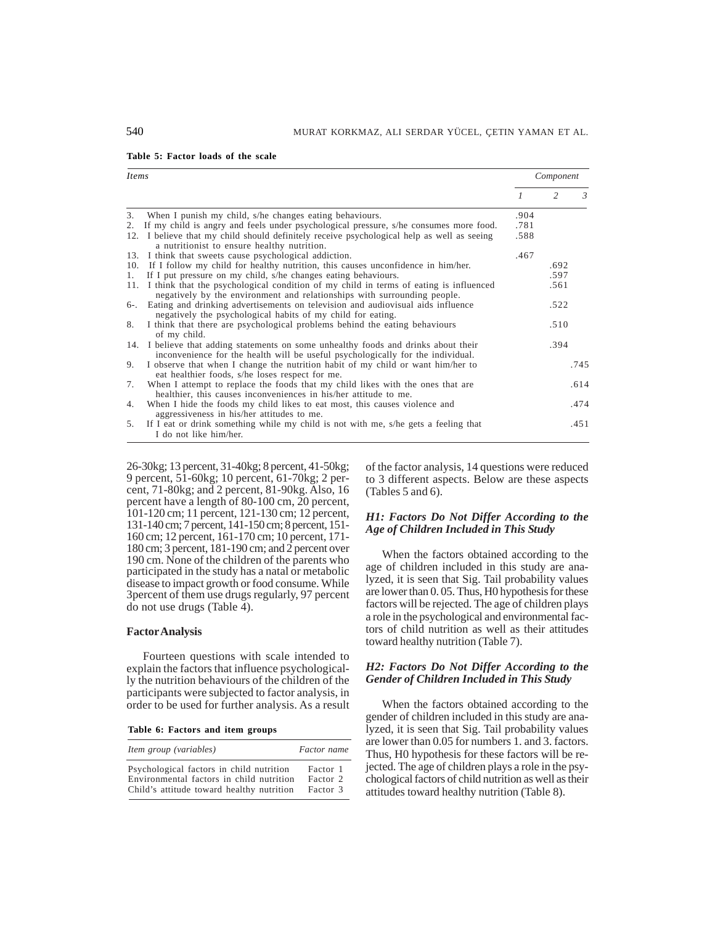|  | Table 5: Factor loads of the scale |  |  |
|--|------------------------------------|--|--|
|  |                                    |  |  |

| <i>Items</i> |                                                                                                                                                                        |                | Component      |               |
|--------------|------------------------------------------------------------------------------------------------------------------------------------------------------------------------|----------------|----------------|---------------|
|              |                                                                                                                                                                        | $\overline{1}$ | $\mathfrak{D}$ | $\mathcal{E}$ |
| 3.           | When I punish my child, s/he changes eating behaviours.                                                                                                                | .904           |                |               |
|              | 2. If my child is angry and feels under psychological pressure, s/he consumes more food.                                                                               | .781           |                |               |
|              | 12. I believe that my child should definitely receive psychological help as well as seeing<br>a nutritionist to ensure healthy nutrition.                              | .588           |                |               |
|              | 13. I think that sweets cause psychological addiction.                                                                                                                 | .467           |                |               |
| 10.          | If I follow my child for healthy nutrition, this causes unconfidence in him/her.                                                                                       |                | .692           |               |
| 1.           | If I put pressure on my child, s/he changes eating behaviours.                                                                                                         |                | .597           |               |
|              | 11. I think that the psychological condition of my child in terms of eating is influenced<br>negatively by the environment and relationships with surrounding people.  |                | .561           |               |
|              | 6-. Eating and drinking advertisements on television and audiovisual aids influence<br>negatively the psychological habits of my child for eating.                     |                | .522           |               |
| 8.           | I think that there are psychological problems behind the eating behaviours<br>of my child.                                                                             |                | .510           |               |
|              | 14. I believe that adding statements on some unhealthy foods and drinks about their<br>inconvenience for the health will be useful psychologically for the individual. |                | .394           |               |
| 9.           | I observe that when I change the nutrition habit of my child or want him/her to<br>eat healthier foods, s/he loses respect for me.                                     |                |                | .745          |
| 7.           | When I attempt to replace the foods that my child likes with the ones that are<br>healthier, this causes inconveniences in his/her attitude to me.                     |                |                | .614          |
| 4.           | When I hide the foods my child likes to eat most, this causes violence and<br>aggressiveness in his/her attitudes to me.                                               |                |                | .474          |
| 5.           | If I eat or drink something while my child is not with me, s/he gets a feeling that<br>I do not like him/her.                                                          |                |                | .451          |

26-30kg; 13 percent, 31-40kg; 8 percent, 41-50kg; 9 percent, 51-60kg; 10 percent, 61-70kg; 2 percent, 71-80kg; and 2 percent, 81-90kg. Also, 16 percent have a length of 80-100 cm, 20 percent, 101-120 cm; 11 percent, 121-130 cm; 12 percent, 131-140 cm; 7 percent, 141-150 cm; 8 percent, 151- 160 cm; 12 percent, 161-170 cm; 10 percent, 171- 180 cm; 3 percent, 181-190 cm; and 2 percent over 190 cm. None of the children of the parents who participated in the study has a natal or metabolic disease to impact growth or food consume. While 3percent of them use drugs regularly, 97 percent do not use drugs (Table 4).

#### **Factor Analysis**

Fourteen questions with scale intended to explain the factors that influence psychologically the nutrition behaviours of the children of the participants were subjected to factor analysis, in order to be used for further analysis. As a result

**Table 6: Factors and item groups**

| Item group (variables)                    | Factor name |
|-------------------------------------------|-------------|
| Psychological factors in child nutrition  | Factor 1    |
| Environmental factors in child nutrition  | Factor 2    |
| Child's attitude toward healthy nutrition | Factor 3    |

of the factor analysis, 14 questions were reduced to 3 different aspects. Below are these aspects (Tables 5 and 6).

### *H1: Factors Do Not Differ According to the Age of Children Included in This Study*

When the factors obtained according to the age of children included in this study are analyzed, it is seen that Sig. Tail probability values are lower than 0. 05. Thus, H0 hypothesis for these factors will be rejected. The age of children plays a role in the psychological and environmental factors of child nutrition as well as their attitudes toward healthy nutrition (Table 7).

## *H2: Factors Do Not Differ According to the Gender of Children Included in This Study*

When the factors obtained according to the gender of children included in this study are analyzed, it is seen that Sig. Tail probability values are lower than 0.05 for numbers 1. and 3. factors. Thus, H0 hypothesis for these factors will be rejected. The age of children plays a role in the psychological factors of child nutrition as well as their attitudes toward healthy nutrition (Table 8).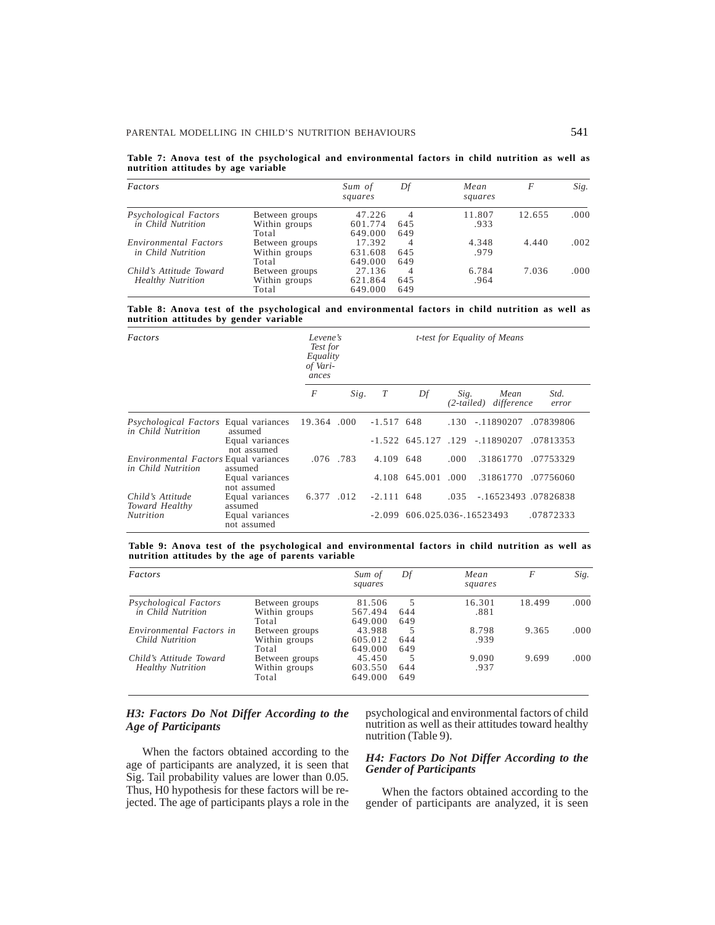|                                     |  |  |  | Table 7: Anova test of the psychological and environmental factors in child nutrition as well as |  |  |  |  |
|-------------------------------------|--|--|--|--------------------------------------------------------------------------------------------------|--|--|--|--|
| nutrition attitudes by age variable |  |  |  |                                                                                                  |  |  |  |  |

| <i>Factors</i>           |                | Sum of<br>squares | Df  | Mean<br>squares | F      | Sig. |
|--------------------------|----------------|-------------------|-----|-----------------|--------|------|
| Psychological Factors    | Between groups | 47.226            | 4   | 11.807          | 12.655 | .000 |
| in Child Nutrition       | Within groups  | 601.774           | 645 | .933            |        |      |
|                          | Total          | 649.000           | 649 |                 |        |      |
| Environmental Factors    | Between groups | 17.392            | 4   | 4.348           | 4.440  | .002 |
| in Child Nutrition       | Within groups  | 631.608           | 645 | .979            |        |      |
|                          | Total          | 649.000           | 649 |                 |        |      |
| Child's Attitude Toward  | Between groups | 27.136            | 4   | 6.784           | 7.036  | .000 |
| <b>Healthy Nutrition</b> | Within groups  | 621.864           | 645 | .964            |        |      |
|                          | Total          | 649.000           | 649 |                 |        |      |

**Table 8: Anova test of the psychological and environmental factors in child nutrition as well as nutrition attitudes by gender variable**

| Factors                                                            |                                | Levene's<br>Test for<br>Equality<br>of Vari-<br>ances |      | <i>t-test for Equality of Means</i> |                                  |       |                                   |               |  |
|--------------------------------------------------------------------|--------------------------------|-------------------------------------------------------|------|-------------------------------------|----------------------------------|-------|-----------------------------------|---------------|--|
|                                                                    |                                | $\boldsymbol{F}$                                      | Sig. | T                                   | Df                               | Sig.  | Mean<br>(2-tailed) difference     | Std.<br>error |  |
| <i>Psychological Factors</i> Equal variances<br>in Child Nutrition | assumed                        | 19.364 .000                                           |      | $-1.517$ 648                        |                                  |       | $.130 - .11890207$                | .07839806     |  |
|                                                                    | Equal variances<br>not assumed |                                                       |      |                                     |                                  |       | $-1.522$ 645.127 .129 $-11890207$ | .07813353     |  |
| <i>Environmental Factors</i> Equal variances<br>in Child Nutrition | assumed                        | .076.783                                              |      | 4.109 648                           |                                  | .000. | .31861770                         | .07753329     |  |
|                                                                    | Equal variances<br>not assumed |                                                       |      |                                     | 4.108 645.001                    | .000. | .31861770                         | .07756060     |  |
| Child's Attitude<br>Toward Healthy                                 | Equal variances<br>assumed     | 6.377 .012                                            |      | $-2.111$ 648                        |                                  | .035  | $-16523493$ 07826838              |               |  |
| <b>Nutrition</b>                                                   | Equal variances<br>not assumed |                                                       |      |                                     | $-2.099$ 606.025.036 $-16523493$ |       |                                   | .07872333     |  |

**Table 9: Anova test of the psychological and environmental factors in child nutrition as well as nutrition attitudes by the age of parents variable**

| Factors                  |                | Sum of<br>squares | Df  | Mean<br>squares | F      | Sig.  |
|--------------------------|----------------|-------------------|-----|-----------------|--------|-------|
| Psychological Factors    | Between groups | 81.506            | 5   | 16.301          | 18.499 | .000  |
| in Child Nutrition       | Within groups  | 567.494           | 644 | .881            |        |       |
|                          | Total          | 649.000           | 649 |                 |        |       |
| Environmental Factors in | Between groups | 43.988            | 5   | 8.798           | 9.365  | .000. |
| Child Nutrition          | Within groups  | 605.012           | 644 | .939            |        |       |
|                          | Total          | 649.000           | 649 |                 |        |       |
| Child's Attitude Toward  | Between groups | 45.450            | 5   | 9.090           | 9.699  | .000. |
| <b>Healthy Nutrition</b> | Within groups  | 603.550           | 644 | .937            |        |       |
|                          | Total          | 649.000           | 649 |                 |        |       |

## *H3: Factors Do Not Differ According to the Age of Participants*

When the factors obtained according to the age of participants are analyzed, it is seen that Sig. Tail probability values are lower than 0.05. Thus, H0 hypothesis for these factors will be rejected. The age of participants plays a role in the psychological and environmental factors of child nutrition as well as their attitudes toward healthy nutrition (Table 9).

#### *H4: Factors Do Not Differ According to the Gender of Participants*

When the factors obtained according to the gender of participants are analyzed, it is seen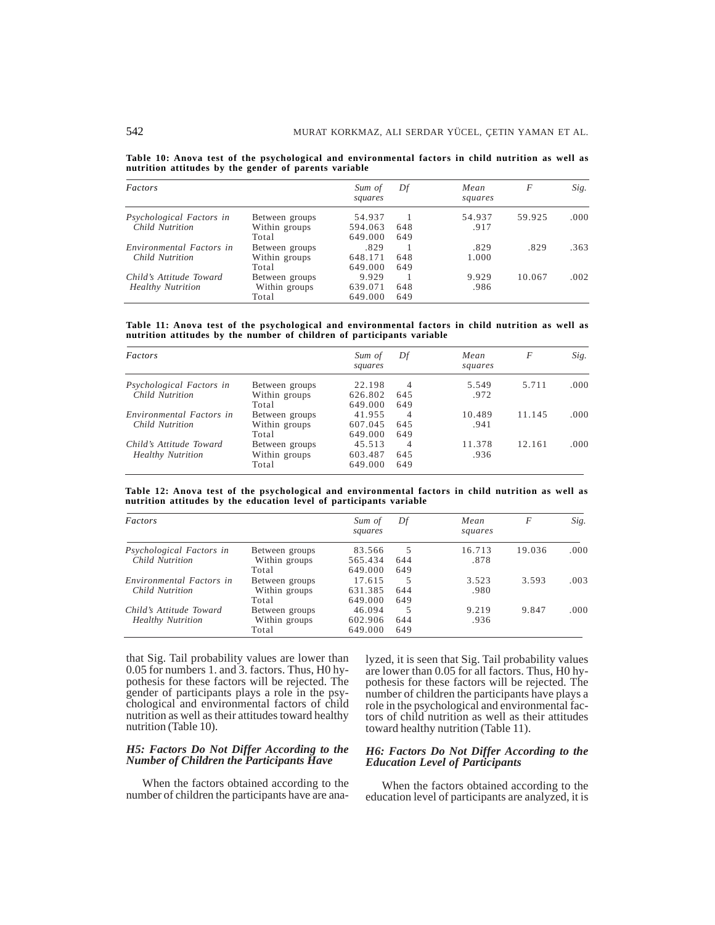|  |                                                       |  |  |  |  |  | Table 10: Anova test of the psychological and environmental factors in child nutrition as well as |  |  |
|--|-------------------------------------------------------|--|--|--|--|--|---------------------------------------------------------------------------------------------------|--|--|
|  | nutrition attitudes by the gender of parents variable |  |  |  |  |  |                                                                                                   |  |  |

| Factors                  |                | Sum of<br>squares | Df  | Mean<br>squares | F      | Sig.  |
|--------------------------|----------------|-------------------|-----|-----------------|--------|-------|
| Psychological Factors in | Between groups | 54.937            |     | 54.937          | 59.925 | .000. |
| Child Nutrition          | Within groups  | 594.063           | 648 | .917            |        |       |
|                          | Total          | 649.000           | 649 |                 |        |       |
| Environmental Factors in | Between groups | .829              |     | .829            | .829   | .363  |
| Child Nutrition          | Within groups  | 648.171           | 648 | 1.000           |        |       |
|                          | Total          | 649.000           | 649 |                 |        |       |
| Child's Attitude Toward  | Between groups | 9.929             |     | 9.929           | 10.067 | .002  |
| <b>Healthy Nutrition</b> | Within groups  | 639.071           | 648 | .986            |        |       |
|                          | Total          | 649.000           | 649 |                 |        |       |

**Table 11: Anova test of the psychological and environmental factors in child nutrition as well as nutrition attitudes by the number of children of participants variable**

| Factors                  |                | Sum of<br>squares | Df  | Mean<br>squares | F      | Sig.  |
|--------------------------|----------------|-------------------|-----|-----------------|--------|-------|
| Psychological Factors in | Between groups | 22.198            | 4   | 5.549           | 5.711  | .000. |
| Child Nutrition          | Within groups  | 626.802           | 645 | .972            |        |       |
|                          | Total          | 649.000           | 649 |                 |        |       |
| Environmental Factors in | Between groups | 41.955            | 4   | 10.489          | 11.145 | .000. |
| Child Nutrition          | Within groups  | 607.045           | 645 | .941            |        |       |
|                          | Total          | 649.000           | 649 |                 |        |       |
| Child's Attitude Toward  | Between groups | 45.513            | 4   | 11.378          | 12.161 | .000. |
| <b>Healthy Nutrition</b> | Within groups  | 603.487           | 645 | .936            |        |       |
|                          | Total          | 649.000           | 649 |                 |        |       |

**Table 12: Anova test of the psychological and environmental factors in child nutrition as well as nutrition attitudes by the education level of participants variable**

| Factors                  |                | Sum of<br>squares | Df  | Mean<br>squares | F      | Sig. |
|--------------------------|----------------|-------------------|-----|-----------------|--------|------|
| Psychological Factors in | Between groups | 83.566            | 5   | 16.713          | 19.036 | .000 |
| Child Nutrition          | Within groups  | 565.434           | 644 | .878            |        |      |
|                          | Total          | 649.000           | 649 |                 |        |      |
| Environmental Factors in | Between groups | 17.615            | 5   | 3.523           | 3.593  | .003 |
| Child Nutrition          | Within groups  | 631.385           | 644 | .980            |        |      |
|                          | Total          | 649.000           | 649 |                 |        |      |
| Child's Attitude Toward  | Between groups | 46.094            | 5   | 9.219           | 9.847  | .000 |
| <b>Healthy Nutrition</b> | Within groups  | 602.906           | 644 | .936            |        |      |
|                          | Total          | 649.000           | 649 |                 |        |      |

that Sig. Tail probability values are lower than 0.05 for numbers 1. and 3. factors. Thus, H0 hypothesis for these factors will be rejected. The gender of participants plays a role in the psychological and environmental factors of child nutrition as well as their attitudes toward healthy nutrition (Table 10).

### *H5: Factors Do Not Differ According to the Number of Children the Participants Have*

When the factors obtained according to the number of children the participants have are analyzed, it is seen that Sig. Tail probability values are lower than 0.05 for all factors. Thus, H0 hypothesis for these factors will be rejected. The number of children the participants have plays a role in the psychological and environmental factors of child nutrition as well as their attitudes toward healthy nutrition (Table 11).

### *H6: Factors Do Not Differ According to the Education Level of Participants*

When the factors obtained according to the education level of participants are analyzed, it is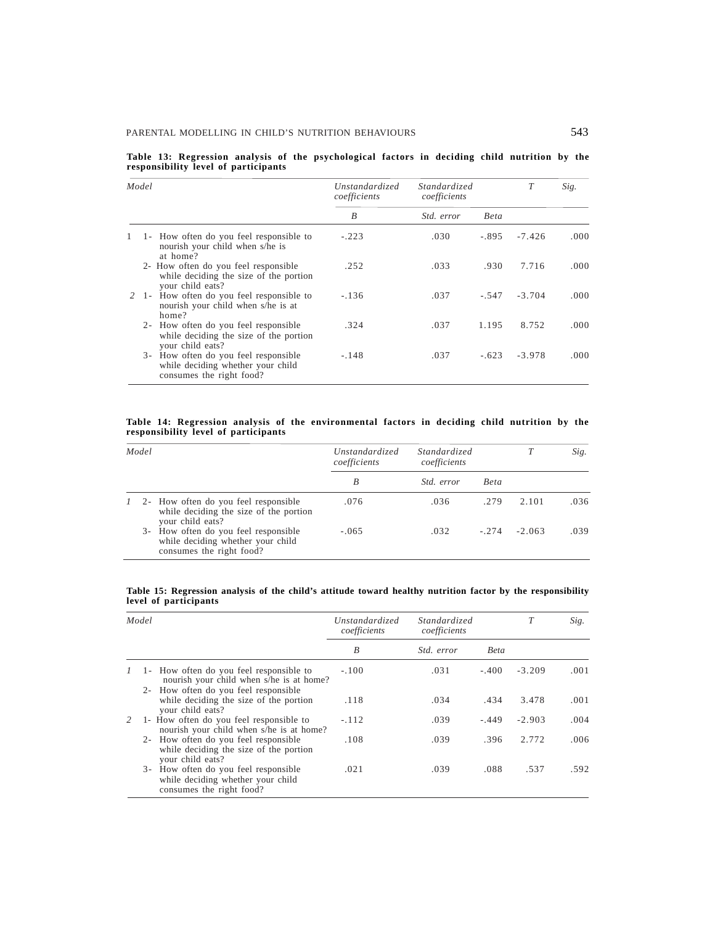|  |                                      |  | Table 13: Regression analysis of the psychological factors in deciding child nutrition by the |  |  |  |  |
|--|--------------------------------------|--|-----------------------------------------------------------------------------------------------|--|--|--|--|
|  | responsibility level of participants |  |                                                                                               |  |  |  |  |

| Model                                                                                                       | Unstandardized<br>coefficients | Standardized<br>coefficients |         | T        | Sig.  |
|-------------------------------------------------------------------------------------------------------------|--------------------------------|------------------------------|---------|----------|-------|
|                                                                                                             | B                              | <i>Std. error</i>            | Beta    |          |       |
| 1- How often do you feel responsible to<br>nourish your child when s/he is<br>at home?                      | $-.223$                        | .030                         | $-.895$ | $-7.426$ | .000  |
| 2- How often do you feel responsible<br>while deciding the size of the portion<br>your child eats?          | .252                           | .033                         | .930    | 7.716    | .000. |
| 2 1- How often do you feel responsible to<br>nourish your child when s/he is at<br>home?                    | $-.136$                        | .037                         | $-.547$ | $-3.704$ | .000. |
| How often do you feel responsible<br>$2 -$<br>while deciding the size of the portion<br>your child eats?    | .324                           | .037                         | 1.195   | 8.752    | .000. |
| How often do you feel responsible<br>$3 -$<br>while deciding whether your child<br>consumes the right food? | $-.148$                        | .037                         | $-.623$ | $-3.978$ | .000. |

#### **Table 14: Regression analysis of the environmental factors in deciding child nutrition by the responsibility level of participants**

| Model |  |                                                                                                       | Unstandardized<br>coefficients | Standardized<br>coefficients |             |          | Sig. |
|-------|--|-------------------------------------------------------------------------------------------------------|--------------------------------|------------------------------|-------------|----------|------|
|       |  |                                                                                                       | B                              | <i>Std. error</i>            | <b>Beta</b> |          |      |
|       |  | 1 2- How often do you feel responsible<br>while deciding the size of the portion<br>your child eats?  | .076                           | .036                         | .279        | 2.101    | .036 |
|       |  | 3- How often do you feel responsible<br>while deciding whether your child<br>consumes the right food? | $-.065$                        | .032                         | $-.274$     | $-2.063$ | .039 |

#### **Table 15: Regression analysis of the child's attitude toward healthy nutrition factor by the responsibility level of participants**

|   | Model                                                                                                 | Unstandardized<br>coefficients | Standardized<br>coefficients |             |          | Sig. |
|---|-------------------------------------------------------------------------------------------------------|--------------------------------|------------------------------|-------------|----------|------|
|   |                                                                                                       | B                              | <i>Std.</i> error            | <b>Beta</b> |          |      |
|   | 1- How often do you feel responsible to<br>nourish your child when s/he is at home?                   | $-.100$                        | .031                         | $-.400$     | $-3.209$ | .001 |
|   | 2- How often do you feel responsible<br>while deciding the size of the portion<br>your child eats?    | .118                           | .034                         | .434        | 3.478    | .001 |
| 2 | 1- How often do you feel responsible to<br>nourish your child when s/he is at home?                   | $-.112$                        | .039                         | $-.449$     | $-2.903$ | .004 |
|   | 2- How often do you feel responsible<br>while deciding the size of the portion<br>your child eats?    | .108                           | .039                         | .396        | 2.772    | .006 |
|   | 3- How often do you feel responsible<br>while deciding whether your child<br>consumes the right food? | .021                           | .039                         | .088        | .537     | .592 |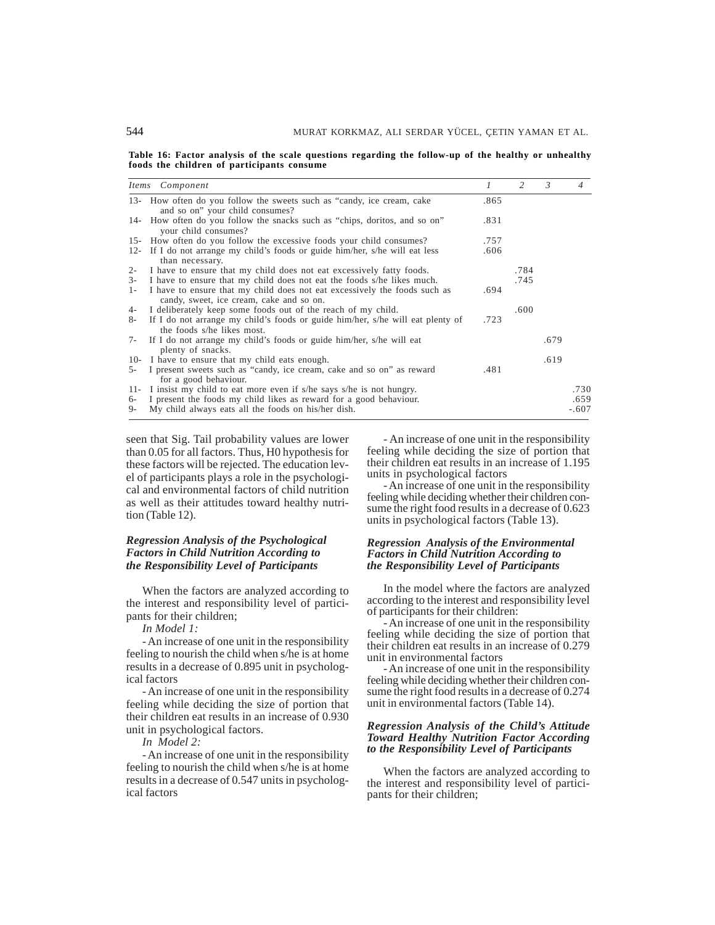**Table 16: Factor analysis of the scale questions regarding the follow-up of the healthy or unhealthy foods the children of participants consume**

|        | Items Component                                                                                                       | $\mathcal{I}$ | 2    | $\mathcal{E}$ | 4       |
|--------|-----------------------------------------------------------------------------------------------------------------------|---------------|------|---------------|---------|
|        | 13- How often do you follow the sweets such as "candy, ice cream, cake<br>and so on" your child consumes?             | .865          |      |               |         |
|        | 14- How often do you follow the snacks such as "chips, doritos, and so on"<br>your child consumes?                    | .831          |      |               |         |
|        | 15- How often do you follow the excessive foods your child consumes?                                                  | .757          |      |               |         |
|        | 12- If I do not arrange my child's foods or guide him/her, s/he will eat less<br>than necessary.                      | .606          |      |               |         |
| $2 -$  | I have to ensure that my child does not eat excessively fatty foods.                                                  |               | .784 |               |         |
| $3-$   | I have to ensure that my child does not eat the foods s/he likes much.                                                |               | .745 |               |         |
| $1-$   | I have to ensure that my child does not eat excessively the foods such as<br>candy, sweet, ice cream, cake and so on. | .694          |      |               |         |
| $4-$   | I deliberately keep some foods out of the reach of my child.                                                          |               | .600 |               |         |
| 8-     | If I do not arrange my child's foods or guide him/her, s/he will eat plenty of<br>the foods s/he likes most.          | .723          |      |               |         |
| 7-     | If I do not arrange my child's foods or guide him/her, s/he will eat<br>plenty of snacks.                             |               |      | .679          |         |
| $10-$  | I have to ensure that my child eats enough.                                                                           |               |      | .619          |         |
| $5 -$  | I present sweets such as "candy, ice cream, cake and so on" as reward<br>for a good behaviour.                        | .481          |      |               |         |
| $11 -$ | I insist my child to eat more even if s/he says s/he is not hungry.                                                   |               |      |               | .730    |
| 6-     | I present the foods my child likes as reward for a good behaviour.                                                    |               |      |               | .659    |
| 9-     | My child always eats all the foods on his/her dish.                                                                   |               |      |               | $-.607$ |

seen that Sig. Tail probability values are lower than 0.05 for all factors. Thus, H0 hypothesis for these factors will be rejected. The education level of participants plays a role in the psychological and environmental factors of child nutrition as well as their attitudes toward healthy nutrition (Table 12).

## *Regression Analysis of the Psychological Factors in Child Nutrition According to the Responsibility Level of Participants*

When the factors are analyzed according to the interest and responsibility level of participants for their children;

*In Model 1:*

- An increase of one unit in the responsibility feeling to nourish the child when s/he is at home results in a decrease of 0.895 unit in psychological factors

- An increase of one unit in the responsibility feeling while deciding the size of portion that their children eat results in an increase of 0.930 unit in psychological factors.

*In Model 2:*

- An increase of one unit in the responsibility feeling to nourish the child when s/he is at home results in a decrease of 0.547 units in psychological factors

- An increase of one unit in the responsibility feeling while deciding the size of portion that their children eat results in an increase of 1.195 units in psychological factors

- An increase of one unit in the responsibility feeling while deciding whether their children consume the right food results in a decrease of 0.623 units in psychological factors (Table 13).

#### *Regression Analysis of the Environmental Factors in Child Nutrition According to the Responsibility Level of Participants*

In the model where the factors are analyzed according to the interest and responsibility level of participants for their children:

- An increase of one unit in the responsibility feeling while deciding the size of portion that their children eat results in an increase of 0.279 unit in environmental factors

- An increase of one unit in the responsibility feeling while deciding whether their children consume the right food results in a decrease of 0.274 unit in environmental factors (Table 14).

### *Regression Analysis of the Child's Attitude Toward Healthy Nutrition Factor According to the Responsibility Level of Participants*

When the factors are analyzed according to the interest and responsibility level of participants for their children;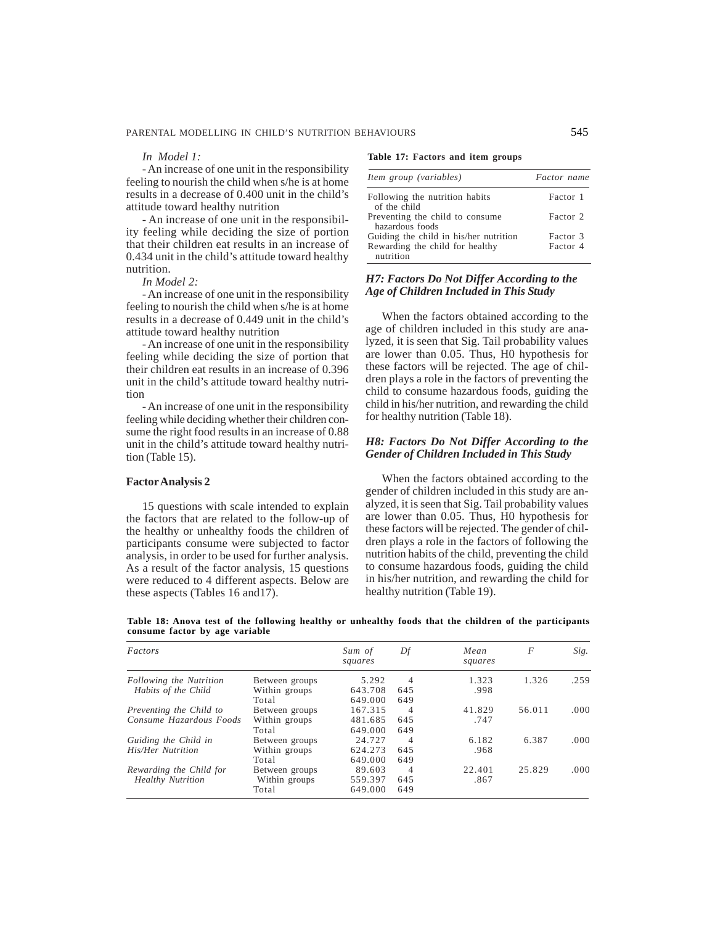#### *In Model 1:*

- An increase of one unit in the responsibility feeling to nourish the child when s/he is at home results in a decrease of 0.400 unit in the child's attitude toward healthy nutrition

- An increase of one unit in the responsibility feeling while deciding the size of portion that their children eat results in an increase of 0.434 unit in the child's attitude toward healthy nutrition.

*In Model 2:*

- An increase of one unit in the responsibility feeling to nourish the child when s/he is at home results in a decrease of 0.449 unit in the child's attitude toward healthy nutrition

- An increase of one unit in the responsibility feeling while deciding the size of portion that their children eat results in an increase of 0.396 unit in the child's attitude toward healthy nutrition

- An increase of one unit in the responsibility feeling while deciding whether their children consume the right food results in an increase of 0.88 unit in the child's attitude toward healthy nutrition (Table 15).

### **Factor Analysis 2**

15 questions with scale intended to explain the factors that are related to the follow-up of the healthy or unhealthy foods the children of participants consume were subjected to factor analysis, in order to be used for further analysis. As a result of the factor analysis, 15 questions were reduced to 4 different aspects. Below are these aspects (Tables 16 and17).

|  |  | Table 17: Factors and item groups |  |  |  |  |
|--|--|-----------------------------------|--|--|--|--|
|--|--|-----------------------------------|--|--|--|--|

| Item group (variables)                             | Factor name |
|----------------------------------------------------|-------------|
| Following the nutrition habits<br>of the child     | Factor 1    |
| Preventing the child to consume<br>hazardous foods | Factor 2    |
| Guiding the child in his/her nutrition             | Factor 3    |
| Rewarding the child for healthy<br>nutrition       | Factor 4    |

### *H7: Factors Do Not Differ According to the Age of Children Included in This Study*

When the factors obtained according to the age of children included in this study are analyzed, it is seen that Sig. Tail probability values are lower than 0.05. Thus, H0 hypothesis for these factors will be rejected. The age of children plays a role in the factors of preventing the child to consume hazardous foods, guiding the child in his/her nutrition, and rewarding the child for healthy nutrition (Table 18).

## *H8: Factors Do Not Differ According to the Gender of Children Included in This Study*

When the factors obtained according to the gender of children included in this study are analyzed, it is seen that Sig. Tail probability values are lower than 0.05. Thus, H0 hypothesis for these factors will be rejected. The gender of children plays a role in the factors of following the nutrition habits of the child, preventing the child to consume hazardous foods, guiding the child in his/her nutrition, and rewarding the child for healthy nutrition (Table 19).

**Table 18: Anova test of the following healthy or unhealthy foods that the children of the participants consume factor by age variable**

| Factors                  |                | Sum of<br>squares | Df  | Mean<br>squares | F      | Sig.  |
|--------------------------|----------------|-------------------|-----|-----------------|--------|-------|
| Following the Nutrition  | Between groups | 5.292             | 4   | 1.323           | 1.326  | .259  |
| Habits of the Child      | Within groups  | 643.708           | 645 | .998            |        |       |
|                          | Total          | 649.000           | 649 |                 |        |       |
| Preventing the Child to  | Between groups | 167.315           | 4   | 41.829          | 56.011 | .000. |
| Consume Hazardous Foods  | Within groups  | 481.685           | 645 | .747            |        |       |
|                          | Total          | 649.000           | 649 |                 |        |       |
| Guiding the Child in     | Between groups | 24.727            | 4   | 6.182           | 6.387  | .000. |
| His/Her Nutrition        | Within groups  | 624.273           | 645 | .968            |        |       |
|                          | Total          | 649.000           | 649 |                 |        |       |
| Rewarding the Child for  | Between groups | 89.603            | 4   | 22.401          | 25.829 | .000. |
| <b>Healthy Nutrition</b> | Within groups  | 559.397           | 645 | .867            |        |       |
|                          | Total          | 649.000           | 649 |                 |        |       |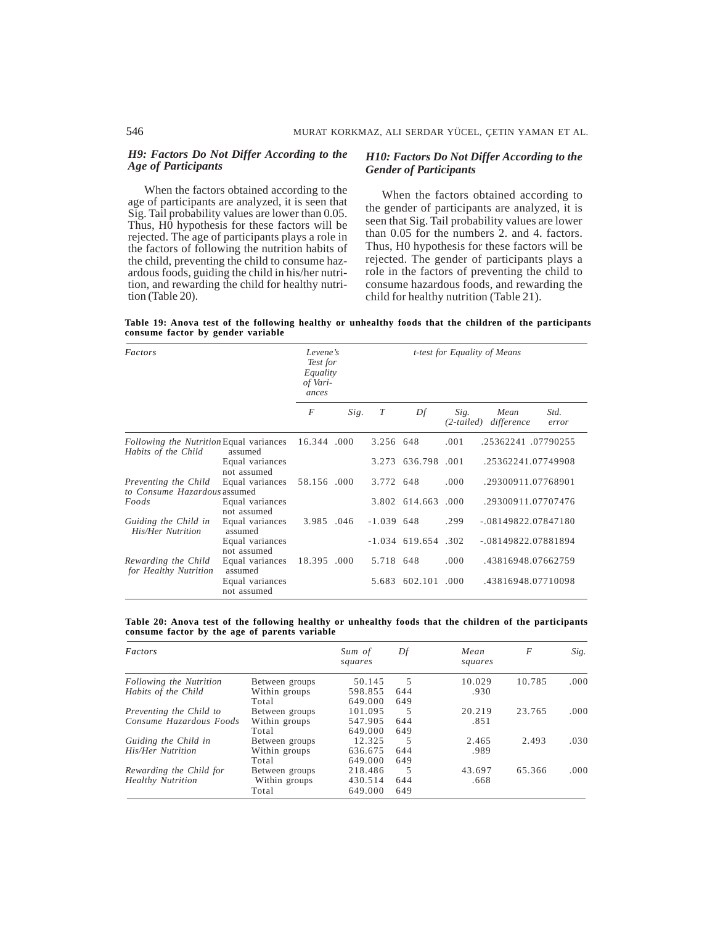### *H9: Factors Do Not Differ According to the Age of Participants*

When the factors obtained according to the age of participants are analyzed, it is seen that Sig. Tail probability values are lower than 0.05. Thus, H0 hypothesis for these factors will be rejected. The age of participants plays a role in the factors of following the nutrition habits of the child, preventing the child to consume hazardous foods, guiding the child in his/her nutrition, and rewarding the child for healthy nutrition (Table 20).

### *H10: Factors Do Not Differ According to the Gender of Participants*

When the factors obtained according to the gender of participants are analyzed, it is seen that Sig. Tail probability values are lower than 0.05 for the numbers 2. and 4. factors. Thus, H0 hypothesis for these factors will be rejected. The gender of participants plays a role in the factors of preventing the child to consume hazardous foods, and rewarding the child for healthy nutrition (Table 21).

**Table 19: Anova test of the following healthy or unhealthy foods that the children of the participants consume factor by gender variable**

| Factors                                                               | Levene's<br>Test for<br>Equality<br>of Vari-<br>ances |                | t-test for Equality of Means |                  |                       |                    |                    |                      |  |
|-----------------------------------------------------------------------|-------------------------------------------------------|----------------|------------------------------|------------------|-----------------------|--------------------|--------------------|----------------------|--|
|                                                                       |                                                       | $\overline{F}$ | Sig.                         | $\boldsymbol{T}$ | Df                    | Sig.<br>(2-tailed) | Mean<br>difference | Std.<br>error        |  |
| <i>Following the Nutrition</i> Equal variances<br>Habits of the Child | assumed                                               | 16.344 .000    |                              | 3.256 648        |                       | .001               |                    | .25362241.07790255   |  |
|                                                                       | Equal variances<br>not assumed                        |                |                              |                  | 3.273 636.798         | .001               |                    | .25362241.07749908   |  |
| Preventing the Child<br>to Consume Hazardous assumed                  | Equal variances                                       | 58.156 .000    |                              | 3.772 648        |                       | .000               |                    | .29300911.07768901   |  |
| Foods                                                                 | Equal variances<br>not assumed                        |                |                              |                  | 3.802 614.663         | .000               |                    | .29300911.07707476   |  |
| Guiding the Child in<br>His/Her Nutrition                             | Equal variances<br>assumed                            | 3.985 .046     |                              | $-1.039$ 648     |                       | .299               |                    | $-08149822.07847180$ |  |
|                                                                       | Equal variances<br>not assumed                        |                |                              |                  | $-1.034$ 619.654 .302 |                    |                    | $-08149822.07881894$ |  |
| Rewarding the Child<br>for Healthy Nutrition                          | Equal variances<br>assumed                            | 18.395 .000    |                              | 5.718 648        |                       | .000.              |                    | .43816948.07662759   |  |
|                                                                       | Equal variances<br>not assumed                        |                |                              |                  | 5.683 602.101 .000    |                    |                    | .43816948.07710098   |  |

**Table 20: Anova test of the following healthy or unhealthy foods that the children of the participants consume factor by the age of parents variable**

| Factors                  |                | Sum of<br>squares | Df  | Mean<br>squares | F      | Sig.  |
|--------------------------|----------------|-------------------|-----|-----------------|--------|-------|
| Following the Nutrition  | Between groups | 50.145            | 5   | 10.029          | 10.785 | .000. |
| Habits of the Child      | Within groups  | 598.855           | 644 | .930            |        |       |
|                          | Total          | 649.000           | 649 |                 |        |       |
| Preventing the Child to  | Between groups | 101.095           | 5   | 20.219          | 23.765 | .000  |
| Consume Hazardous Foods  | Within groups  | 547.905           | 644 | .851            |        |       |
|                          | Total          | 649.000           | 649 |                 |        |       |
| Guiding the Child in     | Between groups | 12.325            | 5   | 2.465           | 2.493  | .030  |
| His/Her Nutrition        | Within groups  | 636.675           | 644 | .989            |        |       |
|                          | Total          | 649.000           | 649 |                 |        |       |
| Rewarding the Child for  | Between groups | 218.486           | 5   | 43.697          | 65.366 | .000. |
| <b>Healthy Nutrition</b> | Within groups  | 430.514           | 644 | .668            |        |       |
|                          | Total          | 649.000           | 649 |                 |        |       |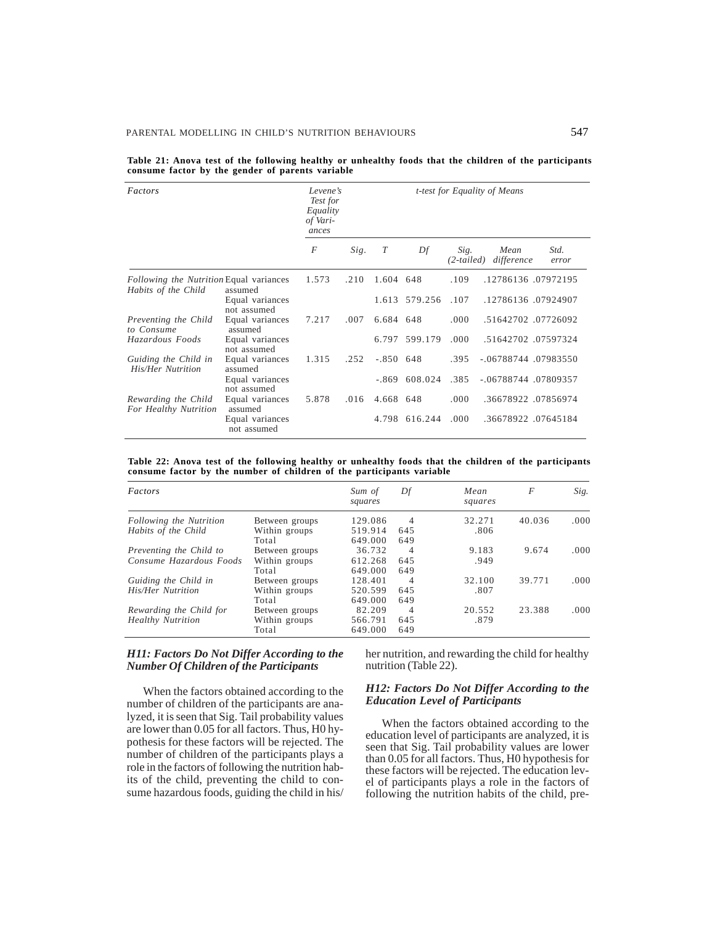| Factors                                                        | Levene's<br>Test for<br>Equality<br>of Vari-<br>ances |       | <i>t-test for Equality of Means</i> |             |                 |      |                               |               |  |  |
|----------------------------------------------------------------|-------------------------------------------------------|-------|-------------------------------------|-------------|-----------------|------|-------------------------------|---------------|--|--|
|                                                                |                                                       | F     | Sig.                                | T           | Df              | Sig. | Mean<br>(2-tailed) difference | Std.<br>error |  |  |
| Following the Nutrition Equal variances<br>Habits of the Child | assumed                                               | 1.573 | .210                                | 1.604 648   |                 | .109 | .12786136.07972195            |               |  |  |
|                                                                | Equal variances<br>not assumed                        |       |                                     |             | 1.613 579.256   | .107 | .12786136.07924907            |               |  |  |
| Preventing the Child<br>to Consume                             | Equal variances<br>assumed                            | 7.217 | .007                                | 6.684 648   |                 | .000 | .51642702.07726092            |               |  |  |
| Hazardous Foods                                                | Equal variances<br>not assumed                        |       |                                     |             | 6.797 599.179   | .000 | .51642702.07597324            |               |  |  |
| Guiding the Child in<br><b>His/Her Nutrition</b>               | Equal variances<br>assumed                            | 1.315 | .252                                | $-.850$ 648 |                 | .395 | -.06788744 .07983550          |               |  |  |
|                                                                | Equal variances<br>not assumed                        |       |                                     |             | $-.869$ 608.024 | .385 | -.06788744 .07809357          |               |  |  |
| Rewarding the Child<br>For Healthy Nutrition                   | Equal variances<br>assumed                            | 5.878 | .016                                | 4.668 648   |                 | .000 | .36678922.07856974            |               |  |  |
|                                                                | Equal variances<br>not assumed                        |       |                                     |             | 4.798 616.244   | .000 | .36678922.07645184            |               |  |  |

**Table 21: Anova test of the following healthy or unhealthy foods that the children of the participants consume factor by the gender of parents variable**

|  |  |  |  | Table 22: Anova test of the following healthy or unhealthy foods that the children of the participants |  |  |  |  |
|--|--|--|--|--------------------------------------------------------------------------------------------------------|--|--|--|--|
|  |  |  |  | consume factor by the number of children of the participants variable                                  |  |  |  |  |

| Factors                  |                | Sum of<br>squares | Df  | Mean<br>squares | F      | Sig.  |
|--------------------------|----------------|-------------------|-----|-----------------|--------|-------|
| Following the Nutrition  | Between groups | 129.086           | 4   | 32.271          | 40.036 | .000. |
| Habits of the Child      | Within groups  | 519.914           | 645 | .806            |        |       |
|                          | Total          | 649.000           | 649 |                 |        |       |
| Preventing the Child to  | Between groups | 36.732            | 4   | 9.183           | 9.674  | .000. |
| Consume Hazardous Foods  | Within groups  | 612.268           | 645 | .949            |        |       |
|                          | Total          | 649.000           | 649 |                 |        |       |
| Guiding the Child in     | Between groups | 128.401           | 4   | 32.100          | 39.771 | .000. |
| His/Her Nutrition        | Within groups  | 520.599           | 645 | .807            |        |       |
|                          | Total          | 649.000           | 649 |                 |        |       |
| Rewarding the Child for  | Between groups | 82.209            | 4   | 20.552          | 23.388 | .000. |
| <b>Healthy Nutrition</b> | Within groups  | 566.791           | 645 | .879            |        |       |
|                          | Total          | 649.000           | 649 |                 |        |       |

## *H11: Factors Do Not Differ According to the Number Of Children of the Participants*

When the factors obtained according to the number of children of the participants are analyzed, it is seen that Sig. Tail probability values are lower than 0.05 for all factors. Thus, H0 hypothesis for these factors will be rejected. The number of children of the participants plays a role in the factors of following the nutrition habits of the child, preventing the child to consume hazardous foods, guiding the child in his/

her nutrition, and rewarding the child for healthy nutrition (Table 22).

#### *H12: Factors Do Not Differ According to the Education Level of Participants*

When the factors obtained according to the education level of participants are analyzed, it is seen that Sig. Tail probability values are lower than 0.05 for all factors. Thus, H0 hypothesis for these factors will be rejected. The education level of participants plays a role in the factors of following the nutrition habits of the child, pre-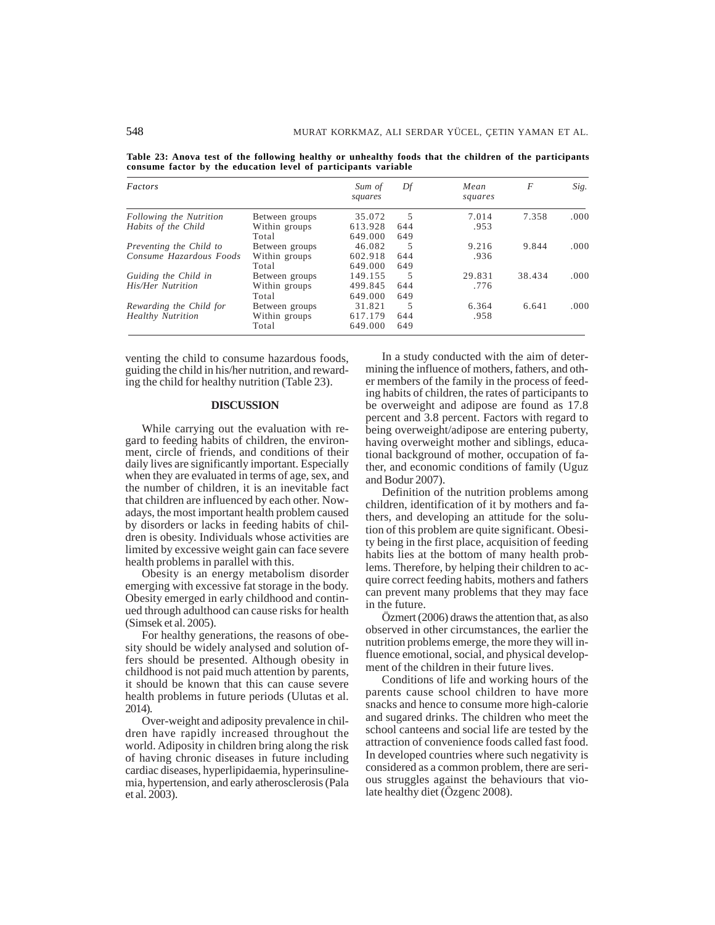**Table 23: Anova test of the following healthy or unhealthy foods that the children of the participants consume factor by the education level of participants variable**

| Factors                  |                | Sum of<br>squares | Df  | Mean<br>squares | F      | Sig.  |
|--------------------------|----------------|-------------------|-----|-----------------|--------|-------|
| Following the Nutrition  | Between groups | 35.072            | 5   | 7.014           | 7.358  | .000. |
| Habits of the Child      | Within groups  | 613.928           | 644 | .953            |        |       |
|                          | Total          | 649.000           | 649 |                 |        |       |
| Preventing the Child to  | Between groups | 46.082            | 5   | 9.216           | 9.844  | .000. |
| Consume Hazardous Foods  | Within groups  | 602.918           | 644 | .936            |        |       |
|                          | Total          | 649.000           | 649 |                 |        |       |
| Guiding the Child in     | Between groups | 149.155           | 5   | 29.831          | 38.434 | .000. |
| His/Her Nutrition        | Within groups  | 499.845           | 644 | .776            |        |       |
|                          | Total          | 649.000           | 649 |                 |        |       |
| Rewarding the Child for  | Between groups | 31.821            | 5   | 6.364           | 6.641  | .000. |
| <b>Healthy Nutrition</b> | Within groups  | 617.179           | 644 | .958            |        |       |
|                          | Total          | 649.000           | 649 |                 |        |       |

venting the child to consume hazardous foods, guiding the child in his/her nutrition, and rewarding the child for healthy nutrition (Table 23).

#### **DISCUSSION**

While carrying out the evaluation with regard to feeding habits of children, the environment, circle of friends, and conditions of their daily lives are significantly important. Especially when they are evaluated in terms of age, sex, and the number of children, it is an inevitable fact that children are influenced by each other. Nowadays, the most important health problem caused by disorders or lacks in feeding habits of children is obesity. Individuals whose activities are limited by excessive weight gain can face severe health problems in parallel with this.

Obesity is an energy metabolism disorder emerging with excessive fat storage in the body. Obesity emerged in early childhood and continued through adulthood can cause risks for health (Simsek et al. 2005).

For healthy generations, the reasons of obesity should be widely analysed and solution offers should be presented. Although obesity in childhood is not paid much attention by parents, it should be known that this can cause severe health problems in future periods (Ulutas et al. 2014).

Over-weight and adiposity prevalence in children have rapidly increased throughout the world. Adiposity in children bring along the risk of having chronic diseases in future including cardiac diseases, hyperlipidaemia, hyperinsulinemia, hypertension, and early atherosclerosis (Pala et al. 2003).

In a study conducted with the aim of determining the influence of mothers, fathers, and other members of the family in the process of feeding habits of children, the rates of participants to be overweight and adipose are found as 17.8 percent and 3.8 percent. Factors with regard to being overweight/adipose are entering puberty, having overweight mother and siblings, educational background of mother, occupation of father, and economic conditions of family (Uguz and Bodur 2007).

Definition of the nutrition problems among children, identification of it by mothers and fathers, and developing an attitude for the solution of this problem are quite significant. Obesity being in the first place, acquisition of feeding habits lies at the bottom of many health problems. Therefore, by helping their children to acquire correct feeding habits, mothers and fathers can prevent many problems that they may face in the future.

Özmert (2006) draws the attention that, as also observed in other circumstances, the earlier the nutrition problems emerge, the more they will influence emotional, social, and physical development of the children in their future lives.

Conditions of life and working hours of the parents cause school children to have more snacks and hence to consume more high-calorie and sugared drinks. The children who meet the school canteens and social life are tested by the attraction of convenience foods called fast food. In developed countries where such negativity is considered as a common problem, there are serious struggles against the behaviours that violate healthy diet (Özgenc 2008).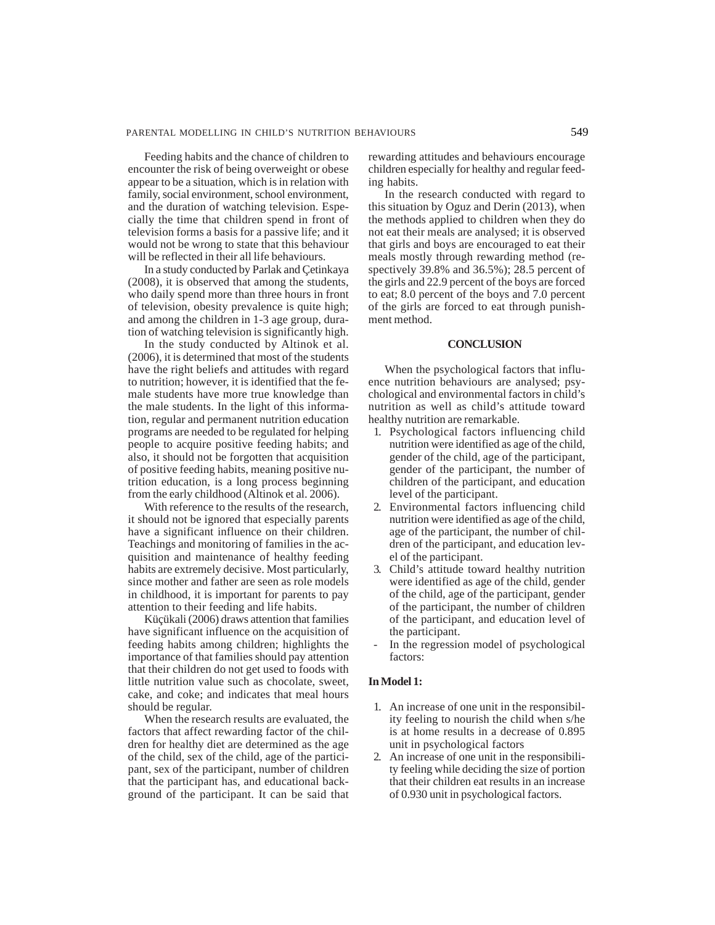Feeding habits and the chance of children to encounter the risk of being overweight or obese appear to be a situation, which is in relation with family, social environment, school environment, and the duration of watching television. Especially the time that children spend in front of television forms a basis for a passive life; and it would not be wrong to state that this behaviour will be reflected in their all life behaviours.

In a study conducted by Parlak and Çetinkaya (2008), it is observed that among the students, who daily spend more than three hours in front of television, obesity prevalence is quite high; and among the children in 1-3 age group, duration of watching television is significantly high.

In the study conducted by Altinok et al. (2006), it is determined that most of the students have the right beliefs and attitudes with regard to nutrition; however, it is identified that the female students have more true knowledge than the male students. In the light of this information, regular and permanent nutrition education programs are needed to be regulated for helping people to acquire positive feeding habits; and also, it should not be forgotten that acquisition of positive feeding habits, meaning positive nutrition education, is a long process beginning from the early childhood (Altinok et al. 2006).

With reference to the results of the research, it should not be ignored that especially parents have a significant influence on their children. Teachings and monitoring of families in the acquisition and maintenance of healthy feeding habits are extremely decisive. Most particularly, since mother and father are seen as role models in childhood, it is important for parents to pay attention to their feeding and life habits.

Küçükali (2006) draws attention that families have significant influence on the acquisition of feeding habits among children; highlights the importance of that families should pay attention that their children do not get used to foods with little nutrition value such as chocolate, sweet, cake, and coke; and indicates that meal hours should be regular.

When the research results are evaluated, the factors that affect rewarding factor of the children for healthy diet are determined as the age of the child, sex of the child, age of the participant, sex of the participant, number of children that the participant has, and educational background of the participant. It can be said that rewarding attitudes and behaviours encourage children especially for healthy and regular feeding habits.

In the research conducted with regard to this situation by Oguz and Derin (2013), when the methods applied to children when they do not eat their meals are analysed; it is observed that girls and boys are encouraged to eat their meals mostly through rewarding method (respectively 39.8% and 36.5%); 28.5 percent of the girls and 22.9 percent of the boys are forced to eat; 8.0 percent of the boys and 7.0 percent of the girls are forced to eat through punishment method.

#### **CONCLUSION**

When the psychological factors that influence nutrition behaviours are analysed; psychological and environmental factors in child's nutrition as well as child's attitude toward healthy nutrition are remarkable.

- 1. Psychological factors influencing child nutrition were identified as age of the child, gender of the child, age of the participant, gender of the participant, the number of children of the participant, and education level of the participant.
- 2. Environmental factors influencing child nutrition were identified as age of the child, age of the participant, the number of children of the participant, and education level of the participant.
- 3. Child's attitude toward healthy nutrition were identified as age of the child, gender of the child, age of the participant, gender of the participant, the number of children of the participant, and education level of the participant.
- In the regression model of psychological factors:

## **In Model 1:**

- 1. An increase of one unit in the responsibility feeling to nourish the child when s/he is at home results in a decrease of 0.895 unit in psychological factors
- 2. An increase of one unit in the responsibility feeling while deciding the size of portion that their children eat results in an increase of 0.930 unit in psychological factors.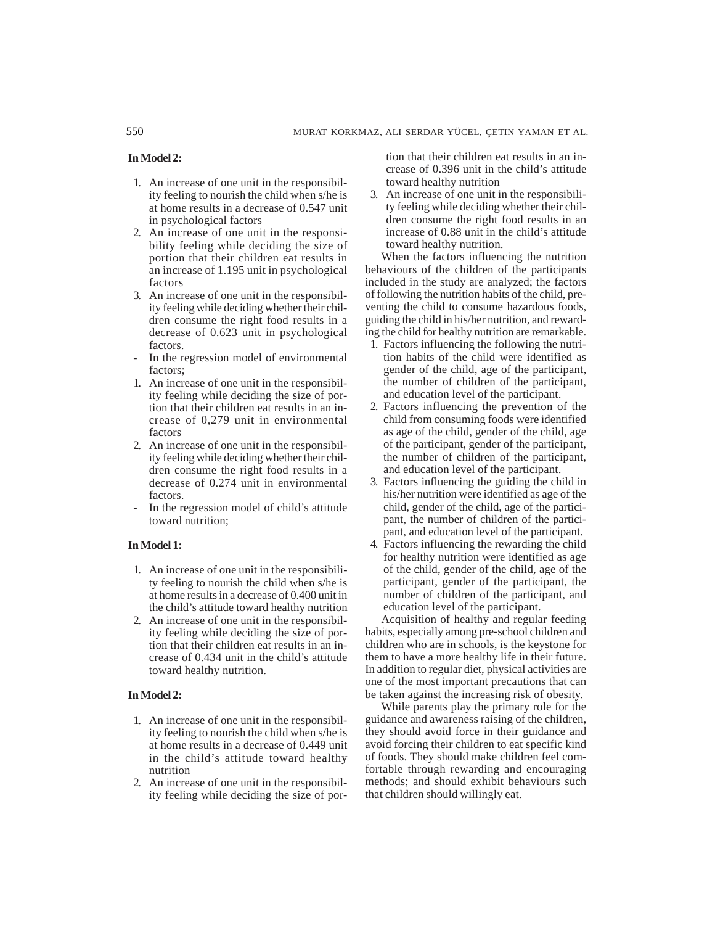## **In Model 2:**

- 1. An increase of one unit in the responsibility feeling to nourish the child when s/he is at home results in a decrease of 0.547 unit in psychological factors
- 2. An increase of one unit in the responsibility feeling while deciding the size of portion that their children eat results in an increase of 1.195 unit in psychological factors
- 3. An increase of one unit in the responsibility feeling while deciding whether their children consume the right food results in a decrease of 0.623 unit in psychological factors.
- In the regression model of environmental factors;
- 1. An increase of one unit in the responsibility feeling while deciding the size of portion that their children eat results in an increase of 0,279 unit in environmental factors
- 2. An increase of one unit in the responsibility feeling while deciding whether their children consume the right food results in a decrease of 0.274 unit in environmental factors.
- In the regression model of child's attitude toward nutrition;

#### **In Model 1:**

- 1. An increase of one unit in the responsibility feeling to nourish the child when s/he is at home results in a decrease of 0.400 unit in the child's attitude toward healthy nutrition
- 2. An increase of one unit in the responsibility feeling while deciding the size of portion that their children eat results in an increase of 0.434 unit in the child's attitude toward healthy nutrition.

## **In Model 2:**

- 1. An increase of one unit in the responsibility feeling to nourish the child when s/he is at home results in a decrease of 0.449 unit in the child's attitude toward healthy nutrition
- 2. An increase of one unit in the responsibility feeling while deciding the size of por-

tion that their children eat results in an increase of 0.396 unit in the child's attitude toward healthy nutrition

3. An increase of one unit in the responsibility feeling while deciding whether their children consume the right food results in an increase of 0.88 unit in the child's attitude toward healthy nutrition.

When the factors influencing the nutrition behaviours of the children of the participants included in the study are analyzed; the factors of following the nutrition habits of the child, preventing the child to consume hazardous foods, guiding the child in his/her nutrition, and rewarding the child for healthy nutrition are remarkable.

- 1. Factors influencing the following the nutrition habits of the child were identified as gender of the child, age of the participant, the number of children of the participant, and education level of the participant.
- 2. Factors influencing the prevention of the child from consuming foods were identified as age of the child, gender of the child, age of the participant, gender of the participant, the number of children of the participant, and education level of the participant.
- 3. Factors influencing the guiding the child in his/her nutrition were identified as age of the child, gender of the child, age of the participant, the number of children of the participant, and education level of the participant.
- 4. Factors influencing the rewarding the child for healthy nutrition were identified as age of the child, gender of the child, age of the participant, gender of the participant, the number of children of the participant, and education level of the participant.

Acquisition of healthy and regular feeding habits, especially among pre-school children and children who are in schools, is the keystone for them to have a more healthy life in their future. In addition to regular diet, physical activities are one of the most important precautions that can be taken against the increasing risk of obesity.

While parents play the primary role for the guidance and awareness raising of the children, they should avoid force in their guidance and avoid forcing their children to eat specific kind of foods. They should make children feel comfortable through rewarding and encouraging methods; and should exhibit behaviours such that children should willingly eat.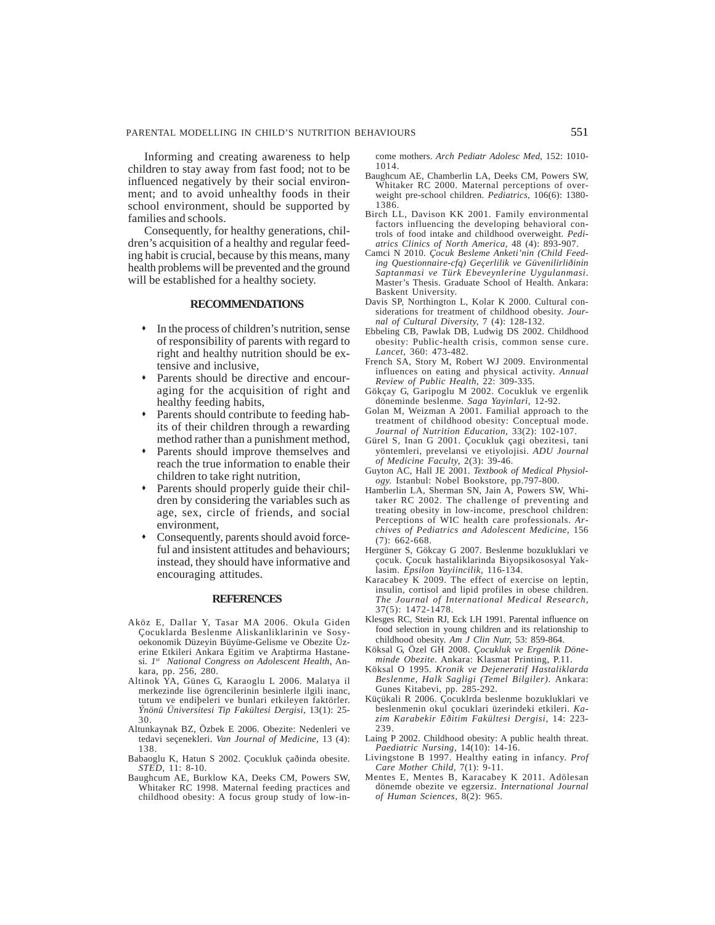Informing and creating awareness to help children to stay away from fast food; not to be influenced negatively by their social environment; and to avoid unhealthy foods in their school environment, should be supported by families and schools.

Consequently, for healthy generations, children's acquisition of a healthy and regular feeding habit is crucial, because by this means, many health problems will be prevented and the ground will be established for a healthy society.

#### **RECOMMENDATIONS**

- In the process of children's nutrition, sense of responsibility of parents with regard to right and healthy nutrition should be extensive and inclusive,
- Parents should be directive and encouraging for the acquisition of right and healthy feeding habits,
- Parents should contribute to feeding habits of their children through a rewarding method rather than a punishment method,
- Parents should improve themselves and reach the true information to enable their children to take right nutrition,
- Parents should properly guide their children by considering the variables such as age, sex, circle of friends, and social environment,
- Consequently, parents should avoid forceful and insistent attitudes and behaviours; instead, they should have informative and encouraging attitudes.

#### **REFERENCES**

- Aköz E, Dallar Y, Tasar MA 2006. Okula Giden Çocuklarda Beslenme Aliskanliklarinin ve Sosyoekonomik Düzeyin Büyüme-Gelisme ve Obezite Üzerine Etkileri Ankara Egitim ve Araþtirma Hastanesi. *1st National Congress on Adolescent Health*, Ankara, pp. 256, 280.
- Altinok YA, Günes G, Karaoglu L 2006. Malatya il merkezinde lise ögrencilerinin besinlerle ilgili inanc, tutum ve endiþeleri ve bunlari etkileyen faktörler. *Ýnönü Üniversitesi Tip Fakültesi Dergisi,* 13(1): 25- 30.
- Altunkaynak BZ, Özbek E 2006. Obezite: Nedenleri ve tedavi seçenekleri. *Van Journal of Medicine,* 13 (4): 138.
- Babaoglu K, Hatun S 2002. Çocukluk çaðinda obesite. *STED,* 11: 8-10.
- Baughcum AE, Burklow KA, Deeks CM, Powers SW, Whitaker RC 1998. Maternal feeding practices and childhood obesity: A focus group study of low-in-

come mothers. *Arch Pediatr Adolesc Med,* 152: 1010- 1014.

- Baughcum AE, Chamberlin LA, Deeks CM, Powers SW, Whitaker RC 2000. Maternal perceptions of overweight pre-school children. *Pediatrics,* 106(6): 1380- 1386.
- Birch LL, Davison KK 2001. Family environmental factors influencing the developing behavioral controls of food intake and childhood overweight. *Pediatrics Clinics of North America,* 48 (4): 893-907.
- Camci N 2010. *Çocuk Besleme Anketi'nin (Child Feeding Questionnaire-cfq) Geçerlilik ve Güvenilirliðinin Saptanmasi ve Türk Ebeveynlerine Uygulanmasi*. Master's Thesis. Graduate School of Health. Ankara: Baskent University.
- Davis SP, Northington L, Kolar K 2000. Cultural considerations for treatment of childhood obesity. *Journal of Cultural Diversity,* 7 (4): 128-132.
- Ebbeling CB, Pawlak DB, Ludwig DS 2002. Childhood obesity: Public-health crisis, common sense cure. *Lancet,* 360: 473-482.
- French SA, Story M, Robert WJ 2009. Environmental influences on eating and physical activity. *Annual Review of Public Health,* 22: 309-335.
- Gökçay G, Garipoglu M 2002. Cocukluk ve ergenlik döneminde beslenme. *Saga Yayinlari,* 12-92.
- Golan M, Weizman A 2001. Familial approach to the treatment of childhood obesity: Conceptual mode. *Journal of Nutrition Education,* 33(2): 102-107.
- Gürel S, Inan G 2001. Çocukluk çagi obezitesi, tani yöntemleri, prevelansi ve etiyolojisi. *ADU Journal of Medicine Faculty,* 2(3): 39-46.
- Guyton AC, Hall JE 2001. *Textbook of Medical Physiology.* Istanbul: Nobel Bookstore, pp.797-800.
- Hamberlin LA, Sherman SN, Jain A, Powers SW, Whitaker RC 2002. The challenge of preventing and treating obesity in low-income, preschool children: Perceptions of WIC health care professionals. *Archives of Pediatrics and Adolescent Medicine,* 156 (7): 662-668.
- Hergüner S, Gökcay G 2007. Beslenme bozukluklari ve çocuk. Çocuk hastaliklarinda Biyopsikososyal Yaklasim. *Epsilon Yayiincilik,* 116-134.
- Karacabey K 2009. The effect of exercise on leptin, insulin, cortisol and lipid profiles in obese children. *The Journal of International Medical Research,* 37(5): 1472-1478.
- Klesges RC, Stein RJ, Eck LH 1991. Parental influence on food selection in young children and its relationship to childhood obesity. *Am J Clin Nutr,* 53: 859-864.
- Köksal G, Özel GH 2008. *Çocukluk ve Ergenlik Döneminde Obezite.* Ankara: Klasmat Printing, P.11.
- Köksal O 1995. *Kronik ve Dejeneratif Hastaliklarda Beslenme, Halk Sagligi (Temel Bilgiler).* Ankara: Gunes Kitabevi, pp. 285-292.
- Küçükali R 2006. Çocuklrda beslenme bozukluklari ve beslenmenin okul çocuklari üzerindeki etkileri. *Kazim Karabekir Eðitim Fakültesi Dergisi*, 14: 223- 239.
- Laing P 2002. Childhood obesity: A public health threat. *Paediatric Nursing,* 14(10): 14-16.
- Livingstone B 1997. Healthy eating in infancy. *Prof Care Mother Child,* 7(1): 9-11.
- Mentes E, Mentes B, Karacabey K 2011. Adölesan dönemde obezite ve egzersiz. *International Journal of Human Sciences,* 8(2): 965.